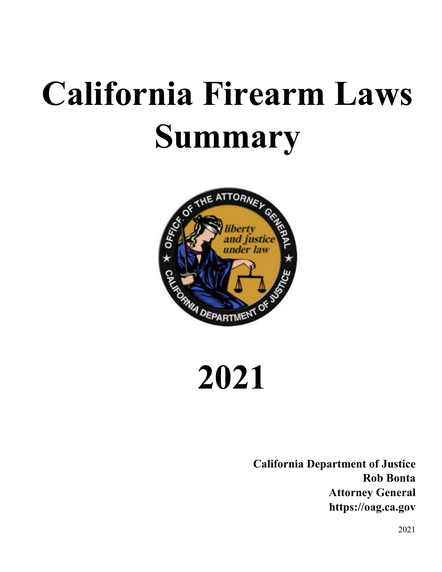# **California Firearm Laws Summary**



**2021**

**California Department of Justice Rob Bonta Attorney General https://oag.ca.gov**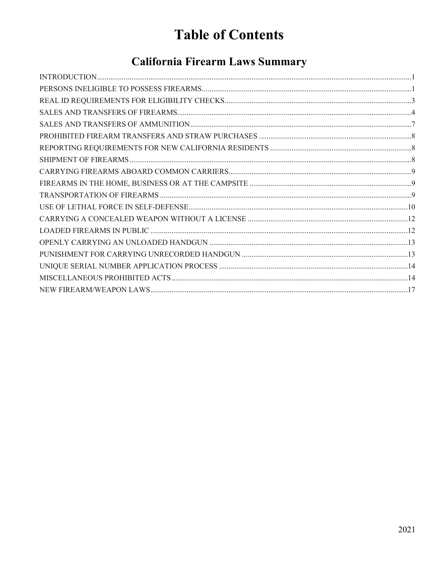# **Table of Contents**

# **California Firearm Laws Summary**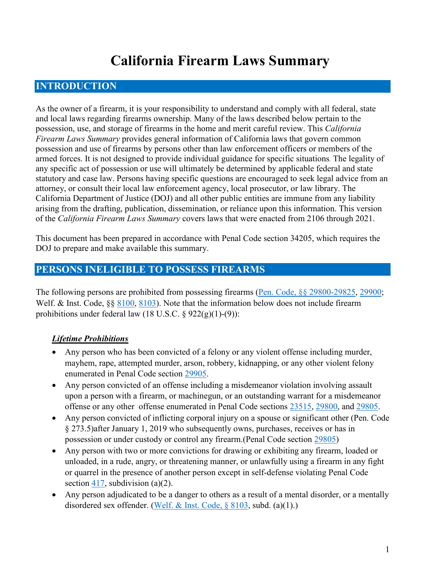# **California Firearm Laws Summary**

# <span id="page-2-0"></span>**INTRODUCTION**

As the owner of a firearm, it is your responsibility to understand and comply with all federal, state and local laws regarding firearms ownership. Many of the laws described below pertain to the possession, use, and storage of firearms in the home and merit careful review. This *California Firearm Laws Summary* provides general information of California laws that govern common possession and use of firearms by persons other than law enforcement officers or members of the armed forces. It is not designed to provide individual guidance for specific situations. The legality of any specific act of possession or use will ultimately be determined by applicable federal and state statutory and case law. Persons having specific questions are encouraged to seek legal advice from an attorney, or consult their local law enforcement agency, local prosecutor, or law library. The California Department of Justice (DOJ) and all other public entities are immune from any liability arising from the drafting, publication, dissemination, or reliance upon this information. This version of the *California Firearm Laws Summary* covers laws that were enacted from 2106 through 2021.

This document has been prepared in accordance with Penal Code section 34205, which requires the DOJ to prepare and make available this summary.

# <span id="page-2-1"></span>**PERSONS INELIGIBLE TO POSSESS FIREARMS**

The following persons are prohibited from possessing firearms [\(Pen. Code, §§ 29800-29825,](https://leginfo.legislature.ca.gov/faces/codes_displayText.xhtml?division=9.&chapter=2.&part=6.&lawCode=PEN&title=4.&article=1.) [29900;](https://leginfo.legislature.ca.gov/faces/codes_displaySection.xhtml?sectionNum=29900.&lawCode=PEN) Welf. & Inst. Code, §§ [8100,](https://leginfo.legislature.ca.gov/faces/codes_displaySection.xhtml?sectionNum=8100.&lawCode=WIC) [8103\)](https://leginfo.legislature.ca.gov/faces/codes_displaySection.xhtml?sectionNum=8103.&lawCode=WIC). Note that the information below does not include firearm prohibitions under federal law  $(18 \text{ U.S.C.} \S 922(g)(1)-(9))$ :

#### *Lifetime Prohibitions*

- Any person who has been convicted of a felony or any violent offense including murder, mayhem, rape, attempted murder, arson, robbery, kidnapping, or any other violent felony enumerated in Penal Code section [29905.](https://leginfo.legislature.ca.gov/faces/codes_displaySection.xhtml?sectionNum=29905.&lawCode=PEN)
- Any person convicted of an offense including a misdemeanor violation involving assault upon a person with a firearm, or machinegun, or an outstanding warrant for a misdemeanor offense or any other offense enumerated in Penal Code sections [23515,](https://leginfo.legislature.ca.gov/faces/codes_displaySection.xhtml?sectionNum=23515.&lawCode=PEN) [29800,](https://leginfo.legislature.ca.gov/faces/codes_displaySection.xhtml?sectionNum=29800.&lawCode=PEN) and [29805.](https://leginfo.legislature.ca.gov/faces/codes_displaySection.xhtml?sectionNum=29805.&lawCode=PEN)
- Any person convicted of inflicting corporal injury on a spouse or significant other (Pen. Code § 273.5)after January 1, 2019 who subsequently owns, purchases, receives or has in possession or under custody or control any firearm.(Penal Code section [29805\)](https://leginfo.legislature.ca.gov/faces/codes_displaySection.xhtml?sectionNum=29805&lawCode=PEN)
- Any person with two or more convictions for drawing or exhibiting any firearm, loaded or unloaded, in a rude, angry, or threatening manner, or unlawfully using a firearm in any fight or quarrel in the presence of another person except in self-defense violating Penal Code section [417,](https://leginfo.legislature.ca.gov/faces/codes_displaySection.xhtml?sectionNum=417.&lawCode=PEN) subdivision (a) $(2)$ .
- Any person adjudicated to be a danger to others as a result of a mental disorder, or a mentally disordered sex offender. [\(Welf. & Inst. Code, § 8103,](https://leginfo.legislature.ca.gov/faces/codes_displaySection.xhtml?sectionNum=8103.&lawCode=WIC) subd. (a)(1).)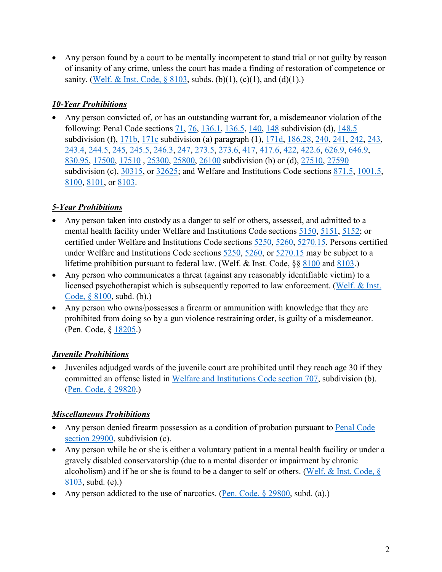• Any person found by a court to be mentally incompetent to stand trial or not guilty by reason of insanity of any crime, unless the court has made a finding of restoration of competence or sanity. (Welf. & Inst. Code,  $\S 8103$ , subds. (b)(1), (c)(1), and (d)(1).)

#### *10-Year Prohibitions*

• Any person convicted of, or has an outstanding warrant for, a misdemeanor violation of the following: Penal Code sections [71,](https://leginfo.legislature.ca.gov/faces/codes_displaySection.xhtml?sectionNum=71&lawCode=PEN) [76,](https://leginfo.legislature.ca.gov/faces/codes_displaySection.xhtml?sectionNum=76&lawCode=PEN) [136.1,](https://leginfo.legislature.ca.gov/faces/codes_displaySection.xhtml?sectionNum=136.1&lawCode=PEN) [136.5,](https://leginfo.legislature.ca.gov/faces/codes_displaySection.xhtml?sectionNum=136.5&lawCode=PEN) [140,](https://leginfo.legislature.ca.gov/faces/codes_displaySection.xhtml?sectionNum=140&lawCode=PEN) [148](https://leginfo.legislature.ca.gov/faces/codes_displaySection.xhtml?sectionNum=148&lawCode=PEN) subdivision (d), [148.5](https://leginfo.legislature.ca.gov/faces/codes_displaySection.xhtml?sectionNum=148.5&lawCode=PEN) subdivision (f), [171b,](https://leginfo.legislature.ca.gov/faces/codes_displaySection.xhtml?lawCode=PEN§ionNum=171b.) [171c](https://leginfo.legislature.ca.gov/faces/codes_displaySection.xhtml?lawCode=PEN§ionNum=171c.) subdivision (a) paragraph (1), [171d,](https://leginfo.legislature.ca.gov/faces/codes_displaySection.xhtml?lawCode=PEN§ionNum=171d.) [186.28,](https://leginfo.legislature.ca.gov/faces/codes_displaySection.xhtml?sectionNum=186.28&lawCode=PEN) [240,](https://leginfo.legislature.ca.gov/faces/codes_displaySection.xhtml?sectionNum=240&lawCode=PEN) [241,](https://leginfo.legislature.ca.gov/faces/codes_displaySection.xhtml?sectionNum=241&lawCode=PEN) [242,](https://leginfo.legislature.ca.gov/faces/codes_displaySection.xhtml?sectionNum=242&lawCode=PEN) [243,](https://leginfo.legislature.ca.gov/faces/codes_displaySection.xhtml?sectionNum=243&lawCode=PEN) [243.4,](https://leginfo.legislature.ca.gov/faces/codes_displaySection.xhtml?sectionNum=243.4&lawCode=PEN) [244.5,](https://leginfo.legislature.ca.gov/faces/codes_displaySection.xhtml?sectionNum=244.5&lawCode=PEN) [245,](https://leginfo.legislature.ca.gov/faces/codes_displaySection.xhtml?sectionNum=245&lawCode=PEN) [245.5,](https://leginfo.legislature.ca.gov/faces/codes_displaySection.xhtml?sectionNum=245.5&lawCode=PEN) [246.3,](https://leginfo.legislature.ca.gov/faces/codes_displaySection.xhtml?sectionNum=246.3&lawCode=PEN) [247,](https://leginfo.legislature.ca.gov/faces/codes_displaySection.xhtml?sectionNum=247&lawCode=PEN) [273.5,](https://leginfo.legislature.ca.gov/faces/codes_displaySection.xhtml?sectionNum=273.5&lawCode=PEN) [273.6,](https://leginfo.legislature.ca.gov/faces/codes_displaySection.xhtml?sectionNum=273.6&lawCode=PEN) [417,](https://leginfo.legislature.ca.gov/faces/codes_displaySection.xhtml?sectionNum=417&lawCode=PEN) [417.6,](https://leginfo.legislature.ca.gov/faces/codes_displaySection.xhtml?sectionNum=417.6&lawCode=PEN) [422,](https://leginfo.legislature.ca.gov/faces/codes_displaySection.xhtml?sectionNum=422&lawCode=PEN) [422.6,](https://leginfo.legislature.ca.gov/faces/codes_displaySection.xhtml?sectionNum=422.6&lawCode=PEN) [626.9,](https://leginfo.legislature.ca.gov/faces/codes_displaySection.xhtml?sectionNum=626.9&lawCode=PEN) [646.9,](https://leginfo.legislature.ca.gov/faces/codes_displaySection.xhtml?sectionNum=646.9&lawCode=PEN) [830.95,](https://leginfo.legislature.ca.gov/faces/codes_displaySection.xhtml?sectionNum=830.95&lawCode=PEN) [17500,](https://leginfo.legislature.ca.gov/faces/codes_displaySection.xhtml?sectionNum=17500&lawCode=PEN) [17510](https://leginfo.legislature.ca.gov/faces/codes_displaySection.xhtml?sectionNum=17510&lawCode=PEN) , [25300,](https://leginfo.legislature.ca.gov/faces/codes_displaySection.xhtml?sectionNum=25300&lawCode=PEN) [25800,](https://leginfo.legislature.ca.gov/faces/codes_displaySection.xhtml?sectionNum=25800&lawCode=PEN) [26100](https://leginfo.legislature.ca.gov/faces/codes_displaySection.xhtml?sectionNum=26100&lawCode=PEN) subdivision (b) or (d), [27510,](https://leginfo.legislature.ca.gov/faces/codes_displaySection.xhtml?sectionNum=27510&lawCode=PEN) [27590](https://leginfo.legislature.ca.gov/faces/codes_displaySection.xhtml?sectionNum=27590&lawCode=PEN) subdivision (c), [30315,](https://leginfo.legislature.ca.gov/faces/codes_displaySection.xhtml?sectionNum=30315&lawCode=PEN) or 32625; and Welfare and Institutions Code sections [871.5,](https://leginfo.legislature.ca.gov/faces/codes_displaySection.xhtml?sectionNum=871.5&lawCode=WIC) [1001.5,](https://leginfo.legislature.ca.gov/faces/codes_displaySection.xhtml?sectionNum=1001.5&lawCode=WIC) [8100,](https://leginfo.legislature.ca.gov/faces/codes_displaySection.xhtml?sectionNum=8100&lawCode=WIC) [8101,](https://leginfo.legislature.ca.gov/faces/codes_displaySection.xhtml?sectionNum=8101&lawCode=WIC) or [8103.](https://leginfo.legislature.ca.gov/faces/codes_displaySection.xhtml?sectionNum=8103&lawCode=WIC)

#### *5-Year Prohibitions*

- Any person taken into custody as a danger to self or others, assessed, and admitted to a mental health facility under Welfare and Institutions Code sections [5150,](https://leginfo.legislature.ca.gov/faces/codes_displaySection.xhtml?sectionNum=5150.&lawCode=WIC) [5151,](https://leginfo.legislature.ca.gov/faces/codes_displaySection.xhtml?sectionNum=5151.&lawCode=WIC) [5152;](https://leginfo.legislature.ca.gov/faces/codes_displaySection.xhtml?sectionNum=5152.&lawCode=WIC) or certified under Welfare and Institutions Code sections [5250,](https://leginfo.legislature.ca.gov/faces/codes_displaySection.xhtml?sectionNum=5250.&lawCode=WIC) [5260,](https://leginfo.legislature.ca.gov/faces/codes_displaySection.xhtml?sectionNum=5260.&lawCode=WIC) [5270.15.](https://leginfo.legislature.ca.gov/faces/codes_displaySection.xhtml?sectionNum=5270.15.&lawCode=WIC) Persons certified under Welfare and Institutions Code sections [5250,](https://leginfo.legislature.ca.gov/faces/codes_displaySection.xhtml?sectionNum=5250.&lawCode=WIC) [5260,](https://leginfo.legislature.ca.gov/faces/codes_displaySection.xhtml?sectionNum=5260.&lawCode=WIC) or [5270.15](https://leginfo.legislature.ca.gov/faces/codes_displaySection.xhtml?sectionNum=5270.15.&lawCode=WIC) may be subject to a lifetime prohibition pursuant to federal law. (Welf. & Inst. Code, §§ [8100](http://leginfo.legislature.ca.gov/faces/codes_displaySection.xhtml?sectionNum=8100.&lawCode=WIC) and [8103.](http://leginfo.legislature.ca.gov/faces/codes_displaySection.xhtml?sectionNum=8103.&lawCode=WIC))
- Any person who communicates a threat (against any reasonably identifiable victim) to a licensed psychotherapist which is subsequently reported to law enforcement. [\(Welf. & Inst.](https://leginfo.legislature.ca.gov/faces/codes_displaySection.xhtml?sectionNum=8100.&lawCode=WIC)  [Code, § 8100,](https://leginfo.legislature.ca.gov/faces/codes_displaySection.xhtml?sectionNum=8100.&lawCode=WIC) subd. (b).)
- Any person who owns/possesses a firearm or ammunition with knowledge that they are prohibited from doing so by a gun violence restraining order, is guilty of a misdemeanor. (Pen. Code, § [18205.](http://leginfo.legislature.ca.gov/faces/codes_displaySection.xhtml?sectionNum=18205&lawCode=PEN))

#### *Juvenile Prohibitions*

• Juveniles adjudged wards of the juvenile court are prohibited until they reach age 30 if they committed an offense listed in [Welfare and Institutions Code section 707,](https://leginfo.legislature.ca.gov/faces/codes_displaySection.xhtml?sectionNum=707.&lawCode=WIC) subdivision (b). [\(Pen. Code, § 29820.](https://leginfo.legislature.ca.gov/faces/codes_displaySection.xhtml?sectionNum=29820.&lawCode=PEN))

#### *Miscellaneous Prohibitions*

- Any person denied firearm possession as a condition of probation pursuant to Penal Code [section 29900,](https://leginfo.legislature.ca.gov/faces/codes_displaySection.xhtml?sectionNum=29900.&lawCode=PEN) subdivision (c).
- Any person while he or she is either a voluntary patient in a mental health facility or under a gravely disabled conservatorship (due to a mental disorder or impairment by chronic alcoholism) and if he or she is found to be a danger to self or others. [\(Welf. & Inst. Code, §](https://uscode.house.gov/view.xhtml?req=(title:18%20section:922%20edition:prelim)%20OR%20(granuleid:USC-prelim-title18-section922)&f=treesort&edition=prelim&num=0&jumpTo=true)  [8103,](https://uscode.house.gov/view.xhtml?req=(title:18%20section:922%20edition:prelim)%20OR%20(granuleid:USC-prelim-title18-section922)&f=treesort&edition=prelim&num=0&jumpTo=true) subd. (e).)
- Any person addicted to the use of narcotics. (Pen. Code,  $\S$  29800, subd. (a).)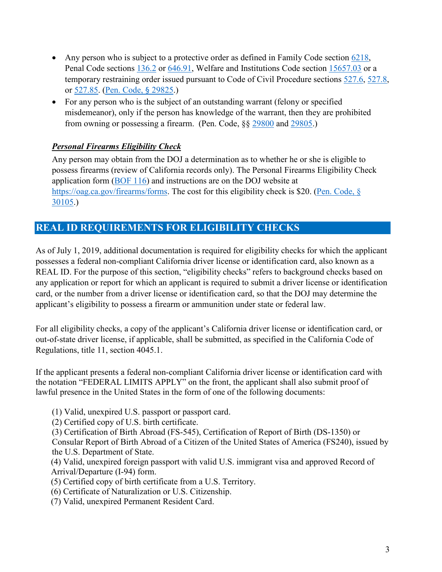- Any person who is subject to a protective order as defined in Family Code section  $6218$ , Penal Code sections [136.2](https://leginfo.legislature.ca.gov/faces/codes_displaySection.xhtml?sectionNum=136.2.&lawCode=PEN) or [646.91,](https://leginfo.legislature.ca.gov/faces/codes_displaySection.xhtml?sectionNum=646.91.&lawCode=PEN) Welfare and Institutions Code section [15657.03](https://leginfo.legislature.ca.gov/faces/codes_displaySection.xhtml?sectionNum=15657.03.&lawCode=WIC) or a temporary restraining order issued pursuant to Code of Civil Procedure sections [527.6,](https://leginfo.legislature.ca.gov/faces/codes_displaySection.xhtml?sectionNum=527.6.&lawCode=CCP) [527.8,](https://leginfo.legislature.ca.gov/faces/codes_displaySection.xhtml?sectionNum=527.8.&lawCode=CCP) or [527.85.](https://leginfo.legislature.ca.gov/faces/codes_displaySection.xhtml?sectionNum=527.85.&lawCode=CCP) [\(Pen. Code,](https://leginfo.legislature.ca.gov/faces/codes_displaySection.xhtml?sectionNum=29825.&lawCode=PEN) § 29825.)
- For any person who is the subject of an outstanding warrant (felony or specified misdemeanor), only if the person has knowledge of the warrant, then they are prohibited from owning or possessing a firearm. (Pen. Code, §§ [29800](http://leginfo.legislature.ca.gov/faces/codes_displaySection.xhtml?sectionNum=29800.&lawCode=PEN) and [29805.](http://leginfo.legislature.ca.gov/faces/codes_displaySection.xhtml?sectionNum=29805.&lawCode=PEN))

#### *Personal Firearms Eligibility Check*

Any person may obtain from the DOJ a determination as to whether he or she is eligible to possess firearms (review of California records only). The Personal Firearms Eligibility Check application form [\(BOF 116\)](https://oag.ca.gov/sites/all/files/agweb/pdfs/firearms/forms/pfecapp.pdf) and instructions are on the DOJ website at [https://oag.ca.gov/firearms/forms.](https://oag.ca.gov/firearms/forms) The cost for this eligibility check is \$20. (Pen. Code, § [30105.](https://leginfo.legislature.ca.gov/faces/codes_displaySection.xhtml?sectionNum=30105.&lawCode=PEN))

# <span id="page-4-0"></span>**REAL ID REQUIREMENTS FOR ELIGIBILITY CHECKS**

As of July 1, 2019, additional documentation is required for eligibility checks for which the applicant possesses a federal non-compliant California driver license or identification card, also known as a REAL ID. For the purpose of this section, "eligibility checks" refers to background checks based on any application or report for which an applicant is required to submit a driver license or identification card, or the number from a driver license or identification card, so that the DOJ may determine the applicant's eligibility to possess a firearm or ammunition under state or federal law.

For all eligibility checks, a copy of the applicant's California driver license or identification card, or out-of-state driver license, if applicable, shall be submitted, as specified in the California Code of Regulations, title 11, section 4045.1.

If the applicant presents a federal non-compliant California driver license or identification card with the notation "FEDERAL LIMITS APPLY" on the front, the applicant shall also submit proof of lawful presence in the United States in the form of one of the following documents:

- (1) Valid, unexpired U.S. passport or passport card.
- (2) Certified copy of U.S. birth certificate.
- (3) Certification of Birth Abroad (FS-545), Certification of Report of Birth (DS-1350) or Consular Report of Birth Abroad of a Citizen of the United States of America (FS240), issued by the U.S. Department of State.
- (4) Valid, unexpired foreign passport with valid U.S. immigrant visa and approved Record of Arrival/Departure (I-94) form.
- (5) Certified copy of birth certificate from a U.S. Territory.
- (6) Certificate of Naturalization or U.S. Citizenship.
- (7) Valid, unexpired Permanent Resident Card.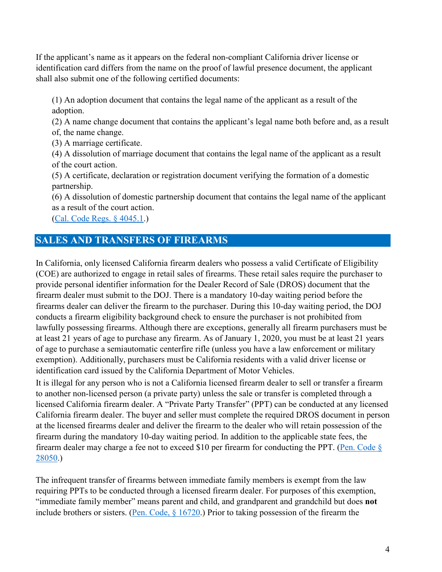If the applicant's name as it appears on the federal non-compliant California driver license or identification card differs from the name on the proof of lawful presence document, the applicant shall also submit one of the following certified documents:

(1) An adoption document that contains the legal name of the applicant as a result of the adoption.

(2) A name change document that contains the applicant's legal name both before and, as a result of, the name change.

(3) A marriage certificate.

(4) A dissolution of marriage document that contains the legal name of the applicant as a result of the court action.

(5) A certificate, declaration or registration document verifying the formation of a domestic partnership.

(6) A dissolution of domestic partnership document that contains the legal name of the applicant as a result of the court action.

[\(Cal. Code Regs. § 4045.1.](https://govt.westlaw.com/calregs/Document/I8EFB9B0A4E7C4C63ABAD06466ABFD80A?viewType=FullText&originationContext=documenttoc&transitionType=CategoryPageItem&contextData=(sc.Default)))

# <span id="page-5-0"></span>**SALES AND TRANSFERS OF FIREARMS**

In California, only licensed California firearm dealers who possess a valid Certificate of Eligibility (COE) are authorized to engage in retail sales of firearms. These retail sales require the purchaser to provide personal identifier information for the Dealer Record of Sale (DROS) document that the firearm dealer must submit to the DOJ. There is a mandatory 10-day waiting period before the firearms dealer can deliver the firearm to the purchaser. During this 10-day waiting period, the DOJ conducts a firearm eligibility background check to ensure the purchaser is not prohibited from lawfully possessing firearms. Although there are exceptions, generally all firearm purchasers must be at least 21 years of age to purchase any firearm. As of January 1, 2020, you must be at least 21 years of age to purchase a semiautomatic centerfire rifle (unless you have a law enforcement or military exemption). Additionally, purchasers must be California residents with a valid driver license or identification card issued by the California Department of Motor Vehicles.

It is illegal for any person who is not a California licensed firearm dealer to sell or transfer a firearm to another non-licensed person (a private party) unless the sale or transfer is completed through a licensed California firearm dealer. A "Private Party Transfer" (PPT) can be conducted at any licensed California firearm dealer. The buyer and seller must complete the required DROS document in person at the licensed firearms dealer and deliver the firearm to the dealer who will retain possession of the firearm during the mandatory 10-day waiting period. In addition to the applicable state fees, the firearm dealer may charge a fee not to exceed \$10 per firearm for conducting the PPT. (Pen. Code  $\S$ [28050.](http://leginfo.legislature.ca.gov/faces/codes_displaySection.xhtml?sectionNum=28050&lawCode=PEN))

The infrequent transfer of firearms between immediate family members is exempt from the law requiring PPTs to be conducted through a licensed firearm dealer. For purposes of this exemption, "immediate family member" means parent and child, and grandparent and grandchild but does **not** include brothers or sisters. [\(Pen. Code, § 16720.](https://leginfo.legislature.ca.gov/faces/codes_displaySection.xhtml?sectionNum=16720.&lawCode=PEN)) Prior to taking possession of the firearm the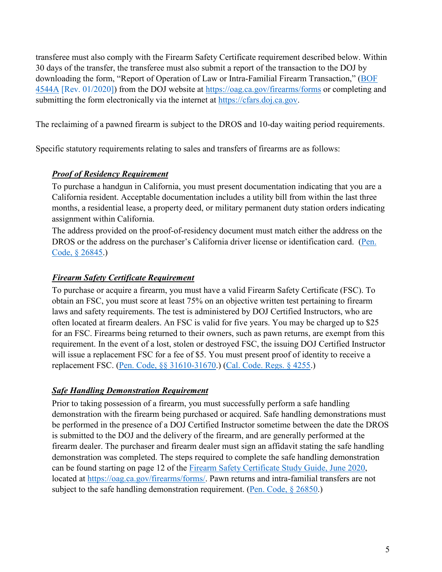transferee must also comply with the Firearm Safety Certificate requirement described below. Within 30 days of the transfer, the transferee must also submit a report of the transaction to the DOJ by downloading the form, "Report of Operation of Law or Intra-Familial Firearm Transaction," (BOF [4544A](https://oag.ca.gov/sites/all/files/agweb/pdfs/firearms/forms/oplaw.pdf) [Rev. 01/2020]) from the DOJ website at<https://oag.ca.gov/firearms/forms>or completing and submitting the form electronically via the internet at [https://cfars.doj.ca.gov.](https://cfars.doj.ca.gov/login.do)

The reclaiming of a pawned firearm is subject to the DROS and 10-day waiting period requirements.

Specific statutory requirements relating to sales and transfers of firearms are as follows:

#### *Proof of Residency Requirement*

To purchase a handgun in California, you must present documentation indicating that you are a California resident. Acceptable documentation includes a utility bill from within the last three months, a residential lease, a property deed, or military permanent duty station orders indicating assignment within California.

The address provided on the proof-of-residency document must match either the address on the DROS or the address on the purchaser's California driver license or identification card. (Pen. [Code, § 26845.](https://leginfo.legislature.ca.gov/faces/codes_displaySection.xhtml?sectionNum=26845.&lawCode=PEN))

#### *Firearm Safety Certificate Requirement*

To purchase or acquire a firearm, you must have a valid Firearm Safety Certificate (FSC). To obtain an FSC, you must score at least 75% on an objective written test pertaining to firearm laws and safety requirements. The test is administered by DOJ Certified Instructors, who are often located at firearm dealers. An FSC is valid for five years. You may be charged up to \$25 for an FSC. Firearms being returned to their owners, such as pawn returns, are exempt from this requirement. In the event of a lost, stolen or destroyed FSC, the issuing DOJ Certified Instructor will issue a replacement FSC for a fee of \$5. You must present proof of identity to receive a replacement FSC. [\(Pen. Code, §§ 31610-31670.](https://leginfo.legislature.ca.gov/faces/codes_displayText.xhtml?division=10.&chapter=4.&part=6.&lawCode=PEN&title=4.&article=2.)) [\(Cal. Code. Regs. § 4255.](https://govt.westlaw.com/calregs/Document/I51366D8B81564508BA4B1699A9D63A3F?viewType=FullText&originationContext=documenttoc&transitionType=CategoryPageItem&contextData=(scCal.%20Code.%20Regs.%20%C2%A7%204255Default)))

#### *Safe Handling Demonstration Requirement*

Prior to taking possession of a firearm, you must successfully perform a safe handling demonstration with the firearm being purchased or acquired. Safe handling demonstrations must be performed in the presence of a DOJ Certified Instructor sometime between the date the DROS is submitted to the DOJ and the delivery of the firearm, and are generally performed at the firearm dealer. The purchaser and firearm dealer must sign an affidavit stating the safe handling demonstration was completed. The steps required to complete the safe handling demonstration can be found starting on page 12 of the [Firearm Safety Certificate Study Guide, June 2020,](https://oag.ca.gov/sites/all/files/agweb/pdfs/firearms/forms/hscsg.pdf?) located at [https://oag.ca.gov/firearms/forms/.](https://oag.ca.gov/firearms/forms/) Pawn returns and intra-familial transfers are not subject to the safe handling demonstration requirement. [\(Pen. Code, § 26850.](https://leginfo.legislature.ca.gov/faces/codes_displaySection.xhtml?sectionNum=26850.&lawCode=PEN))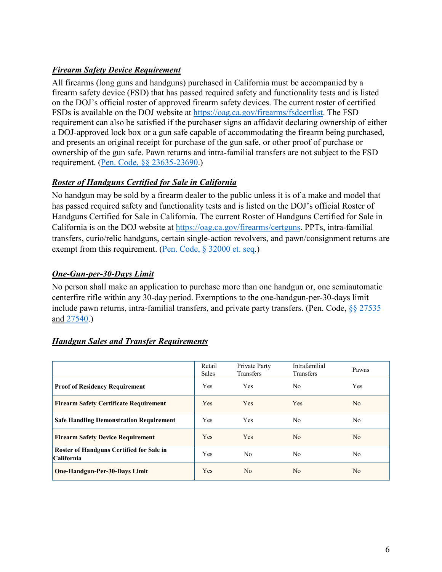#### *Firearm Safety Device Requirement*

All firearms (long guns and handguns) purchased in California must be accompanied by a firearm safety device (FSD) that has passed required safety and functionality tests and is listed on the DOJ's official roster of approved firearm safety devices. The current roster of certified FSDs is available on the DOJ website at [https://oag.ca.gov/firearms/fsdcertlist.](https://oag.ca.gov/firearms/fsdcertlist) The FSD requirement can also be satisfied if the purchaser signs an affidavit declaring ownership of either a DOJ-approved lock box or a gun safe capable of accommodating the firearm being purchased, and presents an original receipt for purchase of the gun safe, or other proof of purchase or ownership of the gun safe. Pawn returns and intra-familial transfers are not subject to the FSD requirement. [\(Pen. Code, §§ 23635-23690.](https://leginfo.legislature.ca.gov/faces/codes_displayText.xhtml?division=2.&part=6.&lawCode=PEN&title=4.))

#### *Roster of Handguns Certified for Sale in California*

No handgun may be sold by a firearm dealer to the public unless it is of a make and model that has passed required safety and functionality tests and is listed on the DOJ's official Roster of Handguns Certified for Sale in California. The current Roster of Handguns Certified for Sale in California is on the DOJ website at [https://oag.ca.gov/firearms/certguns.](https://oag.ca.gov/firearms/certguns?make=All) PPTs, intra-familial transfers, curio/relic handguns, certain single-action revolvers, and pawn/consignment returns are exempt from this requirement. [\(Pen. Code, § 32000 et. seq.](http://leginfo.legislature.ca.gov/faces/codes_displayText.xhtml?lawCode=PEN&division=10.&title=4.&part=6.&chapter=4.&article=5.))

#### *One-Gun-per-30-Days Limit*

No person shall make an application to purchase more than one handgun or, one semiautomatic centerfire rifle within any 30-day period. Exemptions to the one-handgun-per-30-days limit include pawn returns, intra-familial transfers, and private party transfers. (Pen. Code, §§ [27535](http://leginfo.legislature.ca.gov/faces/codes_displaySection.xhtml?sectionNum=27535.&lawCode=PEN) and [27540.](http://leginfo.legislature.ca.gov/faces/codes_displaySection.xhtml?sectionNum=27540.&lawCode=PEN))

|                                                               | Retail<br><b>Sales</b> | Private Party<br>Transfers | Intrafamilial<br><b>Transfers</b> | Pawns      |
|---------------------------------------------------------------|------------------------|----------------------------|-----------------------------------|------------|
| <b>Proof of Residency Requirement</b>                         | <b>Yes</b>             | <b>Yes</b>                 | No.                               | <b>Yes</b> |
| <b>Firearm Safety Certificate Requirement</b>                 | <b>Yes</b>             | <b>Yes</b>                 | Yes                               | No.        |
| <b>Safe Handling Demonstration Requirement</b>                | <b>Yes</b>             | <b>Yes</b>                 | No                                | No         |
| <b>Firearm Safety Device Requirement</b>                      | <b>Yes</b>             | <b>Yes</b>                 | N <sub>o</sub>                    | No.        |
| Roster of Handguns Certified for Sale in<br><b>California</b> | Yes                    | No.                        | No.                               | No.        |
| <b>One-Handgun-Per-30-Days Limit</b>                          | Yes                    | No.                        | N <sub>o</sub>                    | No         |

#### *Handgun Sales and Transfer Requirements*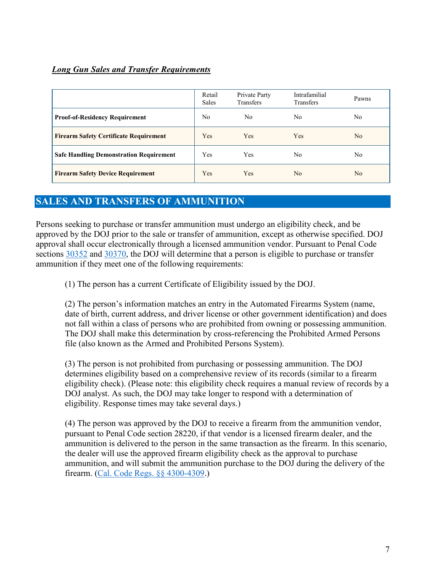#### *Long Gun Sales and Transfer Requirements*

|                                                | Retail<br><b>Sales</b> | Private Party<br><b>Transfers</b> | Intrafamilial<br><b>Transfers</b> | Pawns |
|------------------------------------------------|------------------------|-----------------------------------|-----------------------------------|-------|
| <b>Proof-of-Residency Requirement</b>          | No                     | No.                               | No                                | No    |
| <b>Firearm Safety Certificate Requirement</b>  | Yes                    | <b>Yes</b>                        | Yes                               | No.   |
| <b>Safe Handling Demonstration Requirement</b> | Yes                    | <b>Yes</b>                        | No                                | No    |
| <b>Firearm Safety Device Requirement</b>       | Yes                    | <b>Yes</b>                        | N <sub>o</sub>                    | No.   |

# <span id="page-8-0"></span>**SALES AND TRANSFERS OF AMMUNITION**

Persons seeking to purchase or transfer ammunition must undergo an eligibility check, and be approved by the DOJ prior to the sale or transfer of ammunition, except as otherwise specified. DOJ approval shall occur electronically through a licensed ammunition vendor. Pursuant to Penal Code sections [30352](http://leginfo.legislature.ca.gov/faces/codes_displaySection.xhtml?sectionNum=30352&lawCode=PEN) and [30370,](http://leginfo.legislature.ca.gov/faces/codes_displaySection.xhtml?sectionNum=30370.&lawCode=PEN) the DOJ will determine that a person is eligible to purchase or transfer ammunition if they meet one of the following requirements:

(1) The person has a current Certificate of Eligibility issued by the DOJ.

(2) The person's information matches an entry in the Automated Firearms System (name, date of birth, current address, and driver license or other government identification) and does not fall within a class of persons who are prohibited from owning or possessing ammunition. The DOJ shall make this determination by cross-referencing the Prohibited Armed Persons file (also known as the Armed and Prohibited Persons System).

(3) The person is not prohibited from purchasing or possessing ammunition. The DOJ determines eligibility based on a comprehensive review of its records (similar to a firearm eligibility check). (Please note: this eligibility check requires a manual review of records by a DOJ analyst. As such, the DOJ may take longer to respond with a determination of eligibility. Response times may take several days.)

(4) The person was approved by the DOJ to receive a firearm from the ammunition vendor, pursuant to Penal Code section 28220, if that vendor is a licensed firearm dealer, and the ammunition is delivered to the person in the same transaction as the firearm. In this scenario, the dealer will use the approved firearm eligibility check as the approval to purchase ammunition, and will submit the ammunition purchase to the DOJ during the delivery of the firearm. [\(Cal. Code Regs. §§ 4300-4309.](https://govt.westlaw.com/calregs/Browse/Home/California/CaliforniaCodeofRegulations?guid=IE92E6131C94D4727BB2985596EF535D8&originationContext=documenttoc&transitionType=Default&contextData=(sc.Default)))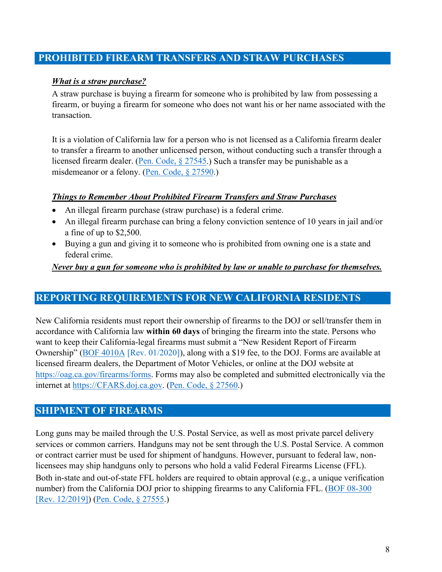#### <span id="page-9-0"></span>**PROHIBITED FIREARM TRANSFERS AND STRAW PURCHASES**

#### *What is a straw purchase?*

A straw purchase is buying a firearm for someone who is prohibited by law from possessing a firearm, or buying a firearm for someone who does not want his or her name associated with the transaction.

It is a violation of California law for a person who is not licensed as a California firearm dealer to transfer a firearm to another unlicensed person, without conducting such a transfer through a licensed firearm dealer. [\(Pen. Code, § 27545.](https://leginfo.legislature.ca.gov/faces/codes_displaySection.xhtml?sectionNum=27545.&lawCode=PEN)) Such a transfer may be punishable as a misdemeanor or a felony. [\(Pen. Code, § 27590.](https://leginfo.legislature.ca.gov/faces/codes_displaySection.xhtml?sectionNum=27590.&lawCode=PEN))

#### *Things to Remember About Prohibited Firearm Transfers and Straw Purchases*

- An illegal firearm purchase (straw purchase) is a federal crime.
- An illegal firearm purchase can bring a felony conviction sentence of 10 years in jail and/or a fine of up to \$2,500.
- Buying a gun and giving it to someone who is prohibited from owning one is a state and federal crime.

#### *Never buy a gun for someone who is prohibited by law or unable to purchase for themselves.*

#### <span id="page-9-1"></span>**REPORTING REQUIREMENTS FOR NEW CALIFORNIA RESIDENTS**

New California residents must report their ownership of firearms to the DOJ or sell/transfer them in accordance with California law **within 60 days** of bringing the firearm into the state. Persons who want to keep their California-legal firearms must submit a "New Resident Report of Firearm Ownership" [\(BOF 4010A](https://oag.ca.gov/sites/all/files/agweb/pdfs/firearms/forms/ab991frm.pdf) [Rev. 01/2020]), along with a \$19 fee, to the DOJ. Forms are available at licensed firearm dealers, the Department of Motor Vehicles, or online at the DOJ website at [https://oag.ca.gov/firearms/forms.](https://oag.ca.gov/firearms/forms) Forms may also be completed and submitted electronically via the internet at [https://CFARS.doj.ca.gov.](https://cfars.doj.ca.gov/) [\(Pen. Code, § 27560.](https://leginfo.legislature.ca.gov/faces/codes_displaySection.xhtml?sectionNum=27560.&lawCode=PEN))

#### <span id="page-9-2"></span>**SHIPMENT OF FIREARMS**

Long guns may be mailed through the U.S. Postal Service, as well as most private parcel delivery services or common carriers. Handguns may not be sent through the U.S. Postal Service. A common or contract carrier must be used for shipment of handguns. However, pursuant to federal law, nonlicensees may ship handguns only to persons who hold a valid Federal Firearms License (FFL). Both in-state and out-of-state FFL holders are required to obtain approval (e.g., a unique verification number) from the California DOJ prior to shipping firearms to any California FFL. (BOF 08-300) [\[Rev. 12/2019\]\)](https://oag.ca.gov/sites/all/files/agweb/pdfs/firearms/forms/cflcfaxrequest.pdf?) [\(Pen. Code, § 27555.](https://leginfo.legislature.ca.gov/faces/codes_displaySection.xhtml?sectionNum=27555.&lawCode=PEN))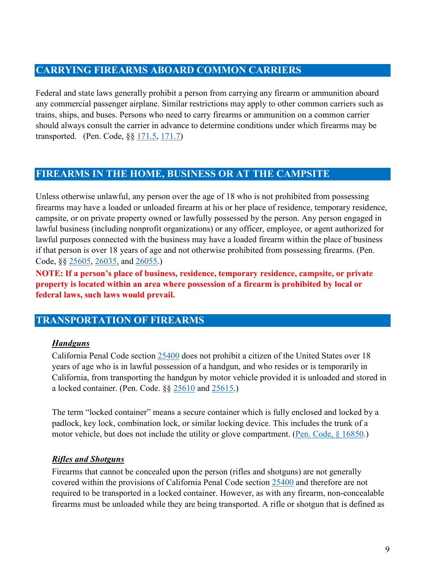#### <span id="page-10-0"></span>**CARRYING FIREARMS ABOARD COMMON CARRIERS**

Federal and state laws generally prohibit a person from carrying any firearm or ammunition aboard any commercial passenger airplane. Similar restrictions may apply to other common carriers such as trains, ships, and buses. Persons who need to carry firearms or ammunition on a common carrier should always consult the carrier in advance to determine conditions under which firearms may be transported. (Pen. Code, §§ [171.5,](https://leginfo.legislature.ca.gov/faces/codes_displaySection.xhtml?lawCode=PEN§ionNum=171.5https://leginfo.legislature.ca.gov/faces/codes_displaySection.xhtml?lawCode=PEN§ionNum=171.5) [171.7\)](https://leginfo.legislature.ca.gov/faces/codes_displaySection.xhtml?sectionNum=171.7.&lawCode=PEN)

# <span id="page-10-1"></span>**FIREARMS IN THE HOME, BUSINESS OR AT THE CAMPSITE**

Unless otherwise unlawful, any person over the age of 18 who is not prohibited from possessing firearms may have a loaded or unloaded firearm at his or her place of residence, temporary residence, campsite, or on private property owned or lawfully possessed by the person. Any person engaged in lawful business (including nonprofit organizations) or any officer, employee, or agent authorized for lawful purposes connected with the business may have a loaded firearm within the place of business if that person is over 18 years of age and not otherwise prohibited from possessing firearms. (Pen. Code, §§ [25605,](https://leginfo.legislature.ca.gov/faces/codes_displaySection.xhtml?sectionNum=25605.&lawCode=PEN) [26035,](https://leginfo.legislature.ca.gov/faces/codes_displaySection.xhtml?sectionNum=26035.&lawCode=PEN) and [26055.](http://leginfo.legislature.ca.gov/faces/codes_displaySection.xhtml?sectionNum=26055.&lawCode=PEN))

**NOTE: If a person's place of business, residence, temporary residence, campsite, or private property is located within an area where possession of a firearm is prohibited by local or federal laws, such laws would prevail.** 

#### <span id="page-10-2"></span>**TRANSPORTATION OF FIREARMS**

#### *Handguns*

California Penal Code section [25400](https://leginfo.legislature.ca.gov/faces/codes_displaySection.xhtml?sectionNum=25400.&lawCode=PEN) does not prohibit a citizen of the United States over 18 years of age who is in lawful possession of a handgun, and who resides or is temporarily in California, from transporting the handgun by motor vehicle provided it is unloaded and stored in a locked container. (Pen. Code. §§ [25610](https://leginfo.legislature.ca.gov/faces/codes_displaySection.xhtml?sectionNum=25610.&lawCode=PEN) and [25615.](http://leginfo.legislature.ca.gov/faces/codes_displaySection.xhtml?sectionNum=25615.&lawCode=PEN))

The term "locked container" means a secure container which is fully enclosed and locked by a padlock, key lock, combination lock, or similar locking device. This includes the trunk of a motor vehicle, but does not include the utility or glove compartment. [\(Pen. Code, § 16850.](https://leginfo.legislature.ca.gov/faces/codes_displaySection.xhtml?sectionNum=16850.&lawCode=PEN))

#### *Rifles and Shotguns*

Firearms that cannot be concealed upon the person (rifles and shotguns) are not generally covered within the provisions of California Penal Code section [25400](https://leginfo.legislature.ca.gov/faces/codes_displaySection.xhtml?sectionNum=25400.&lawCode=PEN) and therefore are not required to be transported in a locked container. However, as with any firearm, non-concealable firearms must be unloaded while they are being transported. A rifle or shotgun that is defined as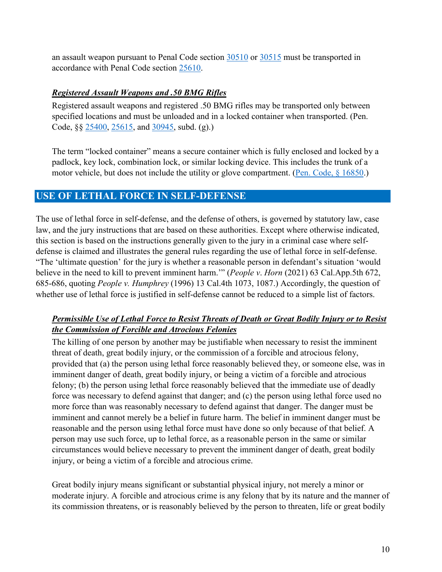an assault weapon pursuant to Penal Code section [30510](https://leginfo.legislature.ca.gov/faces/codes_displaySection.xhtml?sectionNum=30510.&lawCode=PEN) or [30515](https://leginfo.legislature.ca.gov/faces/codes_displaySection.xhtml?sectionNum=30515.&lawCode=PEN) must be transported in accordance with Penal Code section [25610.](https://leginfo.legislature.ca.gov/faces/codes_displaySection.xhtml?sectionNum=25610.&lawCode=PEN)

#### *Registered Assault Weapons and .50 BMG Rifles*

Registered assault weapons and registered .50 BMG rifles may be transported only between specified locations and must be unloaded and in a locked container when transported. (Pen. Code, §§ [25400,](http://leginfo.legislature.ca.gov/faces/codes_displaySection.xhtml?sectionNum=25400.&lawCode=PEN) [25615,](http://leginfo.legislature.ca.gov/faces/codes_displaySection.xhtml?sectionNum=25615.&lawCode=PEN) and [30945,](http://leginfo.legislature.ca.gov/faces/codes_displaySection.xhtml?sectionNum=30945.&lawCode=PEN) subd. (g).)

The term "locked container" means a secure container which is fully enclosed and locked by a padlock, key lock, combination lock, or similar locking device. This includes the trunk of a motor vehicle, but does not include the utility or glove compartment. [\(Pen. Code, § 16850.](https://leginfo.legislature.ca.gov/faces/codes_displaySection.xhtml?sectionNum=16850.&lawCode=PEN))

#### <span id="page-11-0"></span>**USE OF LETHAL FORCE IN SELF-DEFENSE**

The use of lethal force in self-defense, and the defense of others, is governed by statutory law, case law, and the jury instructions that are based on these authorities. Except where otherwise indicated, this section is based on the instructions generally given to the jury in a criminal case where selfdefense is claimed and illustrates the general rules regarding the use of lethal force in self-defense. "The 'ultimate question' for the jury is whether a reasonable person in defendant's situation 'would believe in the need to kill to prevent imminent harm.'" (*People v*. *Horn* (2021) 63 Cal.App.5th 672, 685-686, quoting *People v. Humphrey* (1996) 13 Cal.4th 1073, 1087.) Accordingly, the question of whether use of lethal force is justified in self-defense cannot be reduced to a simple list of factors.

#### *Permissible Use of Lethal Force to Resist Threats of Death or Great Bodily Injury or to Resist the Commission of Forcible and Atrocious Felonies*

The killing of one person by another may be justifiable when necessary to resist the imminent threat of death, great bodily injury, or the commission of a forcible and atrocious felony, provided that (a) the person using lethal force reasonably believed they, or someone else, was in imminent danger of death, great bodily injury, or being a victim of a forcible and atrocious felony; (b) the person using lethal force reasonably believed that the immediate use of deadly force was necessary to defend against that danger; and (c) the person using lethal force used no more force than was reasonably necessary to defend against that danger. The danger must be imminent and cannot merely be a belief in future harm. The belief in imminent danger must be reasonable and the person using lethal force must have done so only because of that belief. A person may use such force, up to lethal force, as a reasonable person in the same or similar circumstances would believe necessary to prevent the imminent danger of death, great bodily injury, or being a victim of a forcible and atrocious crime.

Great bodily injury means significant or substantial physical injury, not merely a minor or moderate injury. A forcible and atrocious crime is any felony that by its nature and the manner of its commission threatens, or is reasonably believed by the person to threaten, life or great bodily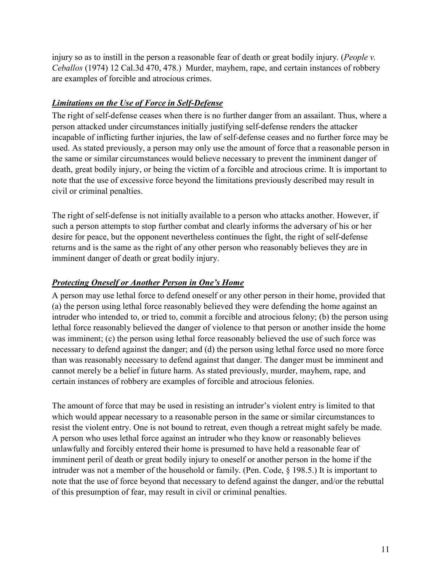injury so as to instill in the person a reasonable fear of death or great bodily injury. (*People v. Ceballos* (1974) 12 Cal.3d 470, 478.) Murder, mayhem, rape, and certain instances of robbery are examples of forcible and atrocious crimes.

#### *Limitations on the Use of Force in Self-Defense*

The right of self-defense ceases when there is no further danger from an assailant. Thus, where a person attacked under circumstances initially justifying self-defense renders the attacker incapable of inflicting further injuries, the law of self-defense ceases and no further force may be used. As stated previously, a person may only use the amount of force that a reasonable person in the same or similar circumstances would believe necessary to prevent the imminent danger of death, great bodily injury, or being the victim of a forcible and atrocious crime. It is important to note that the use of excessive force beyond the limitations previously described may result in civil or criminal penalties.

The right of self-defense is not initially available to a person who attacks another. However, if such a person attempts to stop further combat and clearly informs the adversary of his or her desire for peace, but the opponent nevertheless continues the fight, the right of self-defense returns and is the same as the right of any other person who reasonably believes they are in imminent danger of death or great bodily injury.

#### *Protecting Oneself or Another Person in One's Home*

A person may use lethal force to defend oneself or any other person in their home, provided that (a) the person using lethal force reasonably believed they were defending the home against an intruder who intended to, or tried to, commit a forcible and atrocious felony; (b) the person using lethal force reasonably believed the danger of violence to that person or another inside the home was imminent; (c) the person using lethal force reasonably believed the use of such force was necessary to defend against the danger; and (d) the person using lethal force used no more force than was reasonably necessary to defend against that danger. The danger must be imminent and cannot merely be a belief in future harm. As stated previously, murder, mayhem, rape, and certain instances of robbery are examples of forcible and atrocious felonies.

The amount of force that may be used in resisting an intruder's violent entry is limited to that which would appear necessary to a reasonable person in the same or similar circumstances to resist the violent entry. One is not bound to retreat, even though a retreat might safely be made. A person who uses lethal force against an intruder who they know or reasonably believes unlawfully and forcibly entered their home is presumed to have held a reasonable fear of imminent peril of death or great bodily injury to oneself or another person in the home if the intruder was not a member of the household or family. (Pen. Code, § 198.5.) It is important to note that the use of force beyond that necessary to defend against the danger, and/or the rebuttal of this presumption of fear, may result in civil or criminal penalties.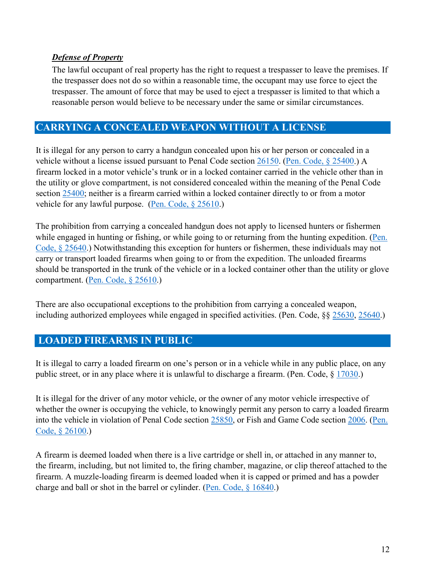#### *Defense of Property*

The lawful occupant of real property has the right to request a trespasser to leave the premises. If the trespasser does not do so within a reasonable time, the occupant may use force to eject the trespasser. The amount of force that may be used to eject a trespasser is limited to that which a reasonable person would believe to be necessary under the same or similar circumstances.

# <span id="page-13-0"></span>**CARRYING A CONCEALED WEAPON WITHOUT A LICENSE**

It is illegal for any person to carry a handgun concealed upon his or her person or concealed in a vehicle without a license issued pursuant to Penal Code section [26150.](https://leginfo.legislature.ca.gov/faces/codes_displaySection.xhtml?sectionNum=26150.&lawCode=PEN) [\(Pen. Code, § 25400.](https://leginfo.legislature.ca.gov/faces/codes_displaySection.xhtml?sectionNum=25400.&lawCode=PEN)) A firearm locked in a motor vehicle's trunk or in a locked container carried in the vehicle other than in the utility or glove compartment, is not considered concealed within the meaning of the Penal Code section [25400;](https://leginfo.legislature.ca.gov/faces/codes_displaySection.xhtml?sectionNum=25400.&lawCode=PEN) neither is a firearm carried within a locked container directly to or from a motor vehicle for any lawful purpose. (Pen. Code,  $\S 25610$ .)

The prohibition from carrying a concealed handgun does not apply to licensed hunters or fishermen while engaged in hunting or fishing, or while going to or returning from the hunting expedition. (Pen. [Code, § 25640.](https://leginfo.legislature.ca.gov/faces/codes_displaySection.xhtml?sectionNum=25640.&lawCode=PEN)) Notwithstanding this exception for hunters or fishermen, these individuals may not carry or transport loaded firearms when going to or from the expedition. The unloaded firearms should be transported in the trunk of the vehicle or in a locked container other than the utility or glove compartment. [\(Pen. Code, § 25610.](https://leginfo.legislature.ca.gov/faces/codes_displaySection.xhtml?sectionNum=25610.&lawCode=PEN))

There are also occupational exceptions to the prohibition from carrying a concealed weapon, including authorized employees while engaged in specified activities. (Pen. Code, §§ [25630,](https://leginfo.legislature.ca.gov/faces/codes_displaySection.xhtml?sectionNum=25630.&lawCode=PEN) [25640.](https://leginfo.legislature.ca.gov/faces/codes_displaySection.xhtml?sectionNum=25640.&lawCode=PEN))

# <span id="page-13-1"></span>**LOADED FIREARMS IN PUBLIC**

It is illegal to carry a loaded firearm on one's person or in a vehicle while in any public place, on any public street, or in any place where it is unlawful to discharge a firearm. (Pen. Code, § [17030.](http://leginfo.legislature.ca.gov/faces/codes_displaySection.xhtml?sectionNum=17030.&lawCode=PEN))

It is illegal for the driver of any motor vehicle, or the owner of any motor vehicle irrespective of whether the owner is occupying the vehicle, to knowingly permit any person to carry a loaded firearm into the vehicle in violation of Penal Code section [25850,](https://leginfo.legislature.ca.gov/faces/codes_displaySection.xhtml?sectionNum=25850.&lawCode=PEN) or Fish and Game Code section [2006.](https://leginfo.legislature.ca.gov/faces/codes_displaySection.xhtml?sectionNum=2006.&lawCode=FGC) [\(Pen.](https://leginfo.legislature.ca.gov/faces/codes_displaySection.xhtml?sectionNum=26100.&lawCode=PEN)  [Code, § 26100.](https://leginfo.legislature.ca.gov/faces/codes_displaySection.xhtml?sectionNum=26100.&lawCode=PEN))

A firearm is deemed loaded when there is a live cartridge or shell in, or attached in any manner to, the firearm, including, but not limited to, the firing chamber, magazine, or clip thereof attached to the firearm. A muzzle-loading firearm is deemed loaded when it is capped or primed and has a powder charge and ball or shot in the barrel or cylinder. [\(Pen. Code, § 16840.](https://leginfo.legislature.ca.gov/faces/codes_displaySection.xhtml?sectionNum=16840.&lawCode=PEN))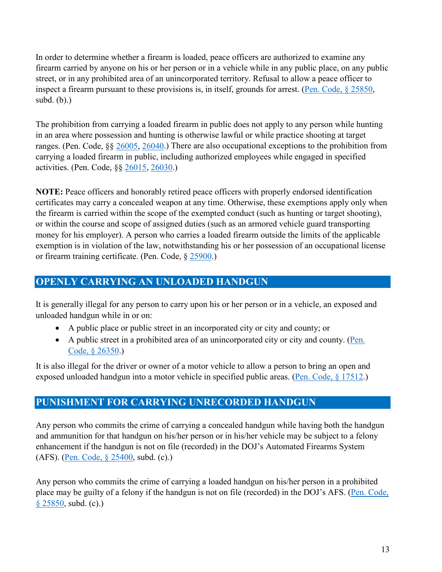In order to determine whether a firearm is loaded, peace officers are authorized to examine any firearm carried by anyone on his or her person or in a vehicle while in any public place, on any public street, or in any prohibited area of an unincorporated territory. Refusal to allow a peace officer to inspect a firearm pursuant to these provisions is, in itself, grounds for arrest. [\(Pen. Code, § 25850,](https://leginfo.legislature.ca.gov/faces/codes_displaySection.xhtml?sectionNum=25850.&lawCode=PEN) subd. (b).)

The prohibition from carrying a loaded firearm in public does not apply to any person while hunting in an area where possession and hunting is otherwise lawful or while practice shooting at target ranges. (Pen. Code, §§ [26005,](https://leginfo.legislature.ca.gov/faces/codes_displaySection.xhtml?sectionNum=26005.&lawCode=PEN) [26040.](https://leginfo.legislature.ca.gov/faces/codes_displaySection.xhtml?sectionNum=26040.&lawCode=PEN)) There are also occupational exceptions to the prohibition from carrying a loaded firearm in public, including authorized employees while engaged in specified activities. (Pen. Code, §§ [26015,](https://leginfo.legislature.ca.gov/faces/codes_displaySection.xhtml?sectionNum=26015.&lawCode=PEN) [26030.](https://leginfo.legislature.ca.gov/faces/codes_displaySection.xhtml?sectionNum=26030.&lawCode=PEN))

**NOTE:** Peace officers and honorably retired peace officers with properly endorsed identification certificates may carry a concealed weapon at any time. Otherwise, these exemptions apply only when the firearm is carried within the scope of the exempted conduct (such as hunting or target shooting), or within the course and scope of assigned duties (such as an armored vehicle guard transporting money for his employer). A person who carries a loaded firearm outside the limits of the applicable exemption is in violation of the law, notwithstanding his or her possession of an occupational license or firearm training certificate. (Pen. Code, § [25900.](http://leginfo.legislature.ca.gov/faces/codes_displaySection.xhtml?sectionNum=25900.&lawCode=PEN))

# <span id="page-14-0"></span>**OPENLY CARRYING AN UNLOADED HANDGUN**

It is generally illegal for any person to carry upon his or her person or in a vehicle, an exposed and unloaded handgun while in or on:

- A public place or public street in an incorporated city or city and county; or
- A public street in a prohibited area of an unincorporated city or city and county. [\(Pen.](https://leginfo.legislature.ca.gov/faces/codes_displaySection.xhtml?sectionNum=26350.&lawCode=PEN)  [Code, § 26350.](https://leginfo.legislature.ca.gov/faces/codes_displaySection.xhtml?sectionNum=26350.&lawCode=PEN))

It is also illegal for the driver or owner of a motor vehicle to allow a person to bring an open and exposed unloaded handgun into a motor vehicle in specified public areas. [\(Pen. Code, § 17512.](https://leginfo.legislature.ca.gov/faces/codes_displaySection.xhtml?sectionNum=17512.&lawCode=PEN))

# <span id="page-14-1"></span>**PUNISHMENT FOR CARRYING UNRECORDED HANDGUN**

Any person who commits the crime of carrying a concealed handgun while having both the handgun and ammunition for that handgun on his/her person or in his/her vehicle may be subject to a felony enhancement if the handgun is not on file (recorded) in the DOJ's Automated Firearms System (AFS). [\(Pen. Code, § 25400,](https://leginfo.legislature.ca.gov/faces/codes_displaySection.xhtml?sectionNum=25400.&lawCode=PEN) subd. (c).)

Any person who commits the crime of carrying a loaded handgun on his/her person in a prohibited place may be guilty of a felony if the handgun is not on file (recorded) in the DOJ's AFS. [\(Pen. Code,](https://leginfo.legislature.ca.gov/faces/codes_displaySection.xhtml?sectionNum=25850.&lawCode=PEN)  [§ 25850,](https://leginfo.legislature.ca.gov/faces/codes_displaySection.xhtml?sectionNum=25850.&lawCode=PEN) subd. (c).)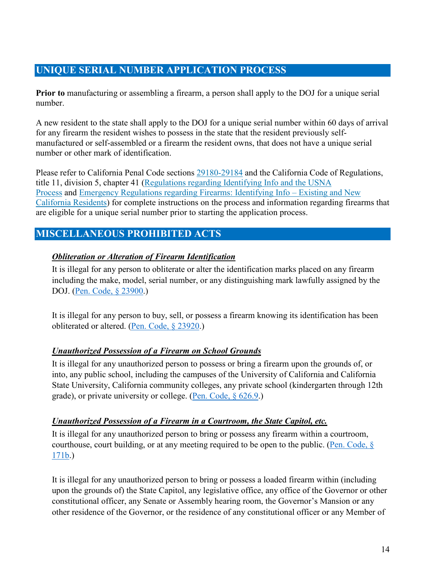# <span id="page-15-0"></span>**UNIQUE SERIAL NUMBER APPLICATION PROCESS**

**Prior to** manufacturing or assembling a firearm, a person shall apply to the DOJ for a unique serial number.

A new resident to the state shall apply to the DOJ for a unique serial number within 60 days of arrival for any firearm the resident wishes to possess in the state that the resident previously selfmanufactured or self-assembled or a firearm the resident owns, that does not have a unique serial number or other mark of identification.

Please refer to California Penal Code sections [29180-29184](https://leginfo.legislature.ca.gov/faces/codes_displayexpandedbranch.xhtml?tocCode=PEN&division=&title=&part=6.&chapter=&article) and the California Code of Regulations, title 11, division 5, chapter 41 [\(Regulations regarding Identifying Info and the USNA](https://www.oag.ca.gov/sites/all/files/agweb/pdfs/firearms/usna-text-of-adopt-regs.pdf)  [Process](https://www.oag.ca.gov/sites/all/files/agweb/pdfs/firearms/usna-text-of-adopt-regs.pdf) and [Emergency Regulations regarding Firearms: Identifying Info – Existing and New](https://www.oag.ca.gov/sites/all/files/agweb/pdfs/firearms/usna-emergency.pdf)  [California Residents\)](https://www.oag.ca.gov/sites/all/files/agweb/pdfs/firearms/usna-emergency.pdf) for complete instructions on the process and information regarding firearms that are eligible for a unique serial number prior to starting the application process.

# <span id="page-15-1"></span>**MISCELLANEOUS PROHIBITED ACTS**

#### *Obliteration or Alteration of Firearm Identification*

It is illegal for any person to obliterate or alter the identification marks placed on any firearm including the make, model, serial number, or any distinguishing mark lawfully assigned by the DOJ. [\(Pen. Code, § 23900.](https://leginfo.legislature.ca.gov/faces/codes_displaySection.xhtml?sectionNum=23900.&lawCode=PEN))

It is illegal for any person to buy, sell, or possess a firearm knowing its identification has been obliterated or altered. [\(Pen. Code, § 23920.](https://leginfo.legislature.ca.gov/faces/codes_displaySection.xhtml?sectionNum=23920.&lawCode=PEN))

#### *Unauthorized Possession of a Firearm on School Grounds*

It is illegal for any unauthorized person to possess or bring a firearm upon the grounds of, or into, any public school, including the campuses of the University of California and California State University, California community colleges, any private school (kindergarten through 12th grade), or private university or college. [\(Pen. Code, § 626.9.](https://leginfo.legislature.ca.gov/faces/codes_displaySection.xhtml?sectionNum=626.9.&lawCode=PEN))

#### *Unauthorized Possession of a Firearm in a Courtroom, the State Capitol, etc.*

It is illegal for any unauthorized person to bring or possess any firearm within a courtroom, courthouse, court building, or at any meeting required to be open to the public. (Pen. Code,  $\S$ [171b.](https://leginfo.legislature.ca.gov/faces/codes_displaySection.xhtml?sectionNum=171b.&lawCode=PEN))

It is illegal for any unauthorized person to bring or possess a loaded firearm within (including upon the grounds of) the State Capitol, any legislative office, any office of the Governor or other constitutional officer, any Senate or Assembly hearing room, the Governor's Mansion or any other residence of the Governor, or the residence of any constitutional officer or any Member of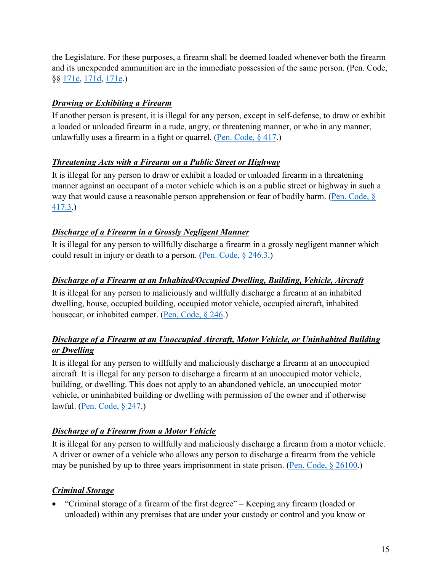the Legislature. For these purposes, a firearm shall be deemed loaded whenever both the firearm and its unexpended ammunition are in the immediate possession of the same person. (Pen. Code, §§ [171c,](https://leginfo.legislature.ca.gov/faces/codes_displaySection.xhtml?sectionNum=171c.&lawCode=PEN) [171d,](https://leginfo.legislature.ca.gov/faces/codes_displaySection.xhtml?sectionNum=171d.&lawCode=PEN) [171e.](https://leginfo.legislature.ca.gov/faces/codes_displaySection.xhtml?sectionNum=171e.&lawCode=PEN))

#### *Drawing or Exhibiting a Firearm*

If another person is present, it is illegal for any person, except in self-defense, to draw or exhibit a loaded or unloaded firearm in a rude, angry, or threatening manner, or who in any manner, unlawfully uses a firearm in a fight or quarrel. (Pen. Code,  $§$  417.)

#### *Threatening Acts with a Firearm on a Public Street or Highway*

It is illegal for any person to draw or exhibit a loaded or unloaded firearm in a threatening manner against an occupant of a motor vehicle which is on a public street or highway in such a way that would cause a reasonable person apprehension or fear of bodily harm. (Pen. Code,  $\S$ [417.3.](https://leginfo.legislature.ca.gov/faces/codes_displaySection.xhtml?sectionNum=417.3.&lawCode=PEN))

#### *Discharge of a Firearm in a Grossly Negligent Manner*

It is illegal for any person to willfully discharge a firearm in a grossly negligent manner which could result in injury or death to a person. [\(Pen. Code, § 246.3.](https://leginfo.legislature.ca.gov/faces/codes_displaySection.xhtml?sectionNum=246.3.&lawCode=PEN))

#### *Discharge of a Firearm at an Inhabited/Occupied Dwelling, Building, Vehicle, Aircraft*

It is illegal for any person to maliciously and willfully discharge a firearm at an inhabited dwelling, house, occupied building, occupied motor vehicle, occupied aircraft, inhabited housecar, or inhabited camper. [\(Pen. Code, § 246.](https://leginfo.legislature.ca.gov/faces/codes_displaySection.xhtml?sectionNum=246.&lawCode=PEN))

#### *Discharge of a Firearm at an Unoccupied Aircraft, Motor Vehicle, or Uninhabited Building or Dwelling*

It is illegal for any person to willfully and maliciously discharge a firearm at an unoccupied aircraft. It is illegal for any person to discharge a firearm at an unoccupied motor vehicle, building, or dwelling. This does not apply to an abandoned vehicle, an unoccupied motor vehicle, or uninhabited building or dwelling with permission of the owner and if otherwise lawful. [\(Pen. Code, § 247.](https://leginfo.legislature.ca.gov/faces/codes_displaySection.xhtml?sectionNum=247.&lawCode=PEN))

#### *Discharge of a Firearm from a Motor Vehicle*

It is illegal for any person to willfully and maliciously discharge a firearm from a motor vehicle. A driver or owner of a vehicle who allows any person to discharge a firearm from the vehicle may be punished by up to three years imprisonment in state prison. [\(Pen. Code, § 26100.](https://leginfo.legislature.ca.gov/faces/codes_displaySection.xhtml?sectionNum=26100.&lawCode=PEN))

#### *Criminal Storage*

• "Criminal storage of a firearm of the first degree" – Keeping any firearm (loaded or unloaded) within any premises that are under your custody or control and you know or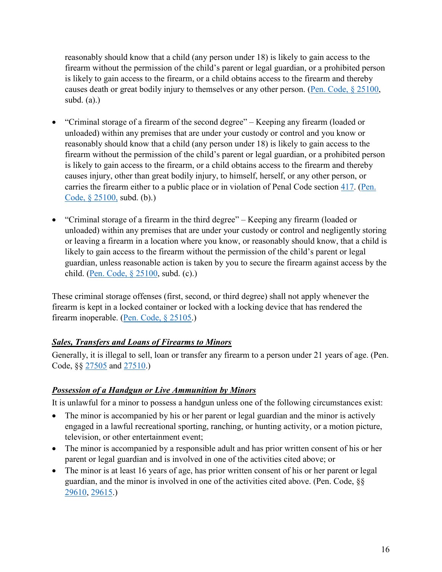reasonably should know that a child (any person under 18) is likely to gain access to the firearm without the permission of the child's parent or legal guardian, or a prohibited person is likely to gain access to the firearm, or a child obtains access to the firearm and thereby causes death or great bodily injury to themselves or any other person. [\(Pen. Code, § 25100,](https://leginfo.legislature.ca.gov/faces/codes_displaySection.xhtml?sectionNum=25100.&lawCode=PEN) subd. (a).)

- "Criminal storage of a firearm of the second degree" Keeping any firearm (loaded or unloaded) within any premises that are under your custody or control and you know or reasonably should know that a child (any person under 18) is likely to gain access to the firearm without the permission of the child's parent or legal guardian, or a prohibited person is likely to gain access to the firearm, or a child obtains access to the firearm and thereby causes injury, other than great bodily injury, to himself, herself, or any other person, or carries the firearm either to a public place or in violation of Penal Code section [417.](https://leginfo.legislature.ca.gov/faces/codes_displaySection.xhtml?sectionNum=417.&lawCode=PEN) (Pen. [Code, § 25100,](https://leginfo.legislature.ca.gov/faces/codes_displaySection.xhtml?sectionNum=25100.&lawCode=PEN) subd. (b).)
- "Criminal storage of a firearm in the third degree" Keeping any firearm (loaded or unloaded) within any premises that are under your custody or control and negligently storing or leaving a firearm in a location where you know, or reasonably should know, that a child is likely to gain access to the firearm without the permission of the child's parent or legal guardian, unless reasonable action is taken by you to secure the firearm against access by the child. [\(Pen. Code, § 25100,](https://leginfo.legislature.ca.gov/faces/codes_displaySection.xhtml?sectionNum=25100.&lawCode=PEN) subd. (c).)

These criminal storage offenses (first, second, or third degree) shall not apply whenever the firearm is kept in a locked container or locked with a locking device that has rendered the firearm inoperable. [\(Pen. Code, § 25105.](https://leginfo.legislature.ca.gov/faces/codes_displaySection.xhtml?sectionNum=25105.&lawCode=PEN))

#### *Sales, Transfers and Loans of Firearms to Minors*

Generally, it is illegal to sell, loan or transfer any firearm to a person under 21 years of age. (Pen. Code, §§ [27505](https://leginfo.legislature.ca.gov/faces/codes_displaySection.xhtml?sectionNum=27505.&lawCode=PEN) and [27510.](http://leginfo.legislature.ca.gov/faces/codes_displaySection.xhtml?sectionNum=25900.&lawCode=PEN))

#### *Possession of a Handgun or Live Ammunition by Minors*

It is unlawful for a minor to possess a handgun unless one of the following circumstances exist:

- The minor is accompanied by his or her parent or legal guardian and the minor is actively engaged in a lawful recreational sporting, ranching, or hunting activity, or a motion picture, television, or other entertainment event;
- The minor is accompanied by a responsible adult and has prior written consent of his or her parent or legal guardian and is involved in one of the activities cited above; or
- The minor is at least 16 years of age, has prior written consent of his or her parent or legal guardian, and the minor is involved in one of the activities cited above. (Pen. Code, §§ [29610,](https://leginfo.legislature.ca.gov/faces/codes_displaySection.xhtml?sectionNum=29610.&lawCode=PEN) [29615.](https://leginfo.legislature.ca.gov/faces/codes_displaySection.xhtml?sectionNum=29615.&lawCode=PEN))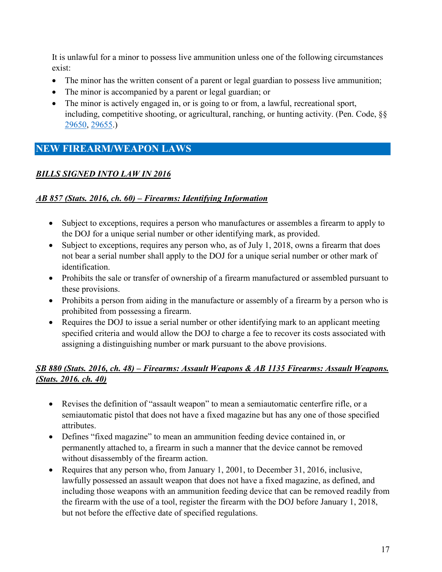It is unlawful for a minor to possess live ammunition unless one of the following circumstances exist:

- The minor has the written consent of a parent or legal guardian to possess live ammunition;
- The minor is accompanied by a parent or legal guardian; or
- The minor is actively engaged in, or is going to or from, a lawful, recreational sport, including, competitive shooting, or agricultural, ranching, or hunting activity. (Pen. Code, §§ [29650,](https://leginfo.legislature.ca.gov/faces/codes_displaySection.xhtml?sectionNum=29650.&lawCode=PEN) [29655.](https://leginfo.legislature.ca.gov/faces/codes_displaySection.xhtml?sectionNum=29655.&lawCode=PEN))

# <span id="page-18-0"></span>**NEW FIREARM/WEAPON LAWS**

#### *BILLS SIGNED INTO LAW IN 2016*

#### *[AB 857 \(Stats. 2016, ch. 60\) – Firearms: Identifying Information](https://leginfo.legislature.ca.gov/faces/billNavClient.xhtml?bill_id=201520160AB857)*

- Subject to exceptions, requires a person who manufactures or assembles a firearm to apply to the DOJ for a unique serial number or other identifying mark, as provided.
- Subject to exceptions, requires any person who, as of July 1, 2018, owns a firearm that does not bear a serial number shall apply to the DOJ for a unique serial number or other mark of identification.
- Prohibits the sale or transfer of ownership of a firearm manufactured or assembled pursuant to these provisions.
- Prohibits a person from aiding in the manufacture or assembly of a firearm by a person who is prohibited from possessing a firearm.
- Requires the DOJ to issue a serial number or other identifying mark to an applicant meeting specified criteria and would allow the DOJ to charge a fee to recover its costs associated with assigning a distinguishing number or mark pursuant to the above provisions.

#### *[SB 880 \(Stats. 2016, ch. 48\) – Firearms: Assault Weapons](https://leginfo.legislature.ca.gov/faces/billNavClient.xhtml?bill_id=201520160SB880) & [AB 1135 Firearms: Assault Weapons.](https://leginfo.legislature.ca.gov/faces/billNavClient.xhtml?bill_id=201520160AB1135)  [\(Stats. 2016. ch. 40\)](https://leginfo.legislature.ca.gov/faces/billNavClient.xhtml?bill_id=201520160AB1135)*

- Revises the definition of "assault weapon" to mean a semiautomatic centerfire rifle, or a semiautomatic pistol that does not have a fixed magazine but has any one of those specified attributes.
- Defines "fixed magazine" to mean an ammunition feeding device contained in, or permanently attached to, a firearm in such a manner that the device cannot be removed without disassembly of the firearm action.
- Requires that any person who, from January 1, 2001, to December 31, 2016, inclusive, lawfully possessed an assault weapon that does not have a fixed magazine, as defined, and including those weapons with an ammunition feeding device that can be removed readily from the firearm with the use of a tool, register the firearm with the DOJ before January 1, 2018, but not before the effective date of specified regulations.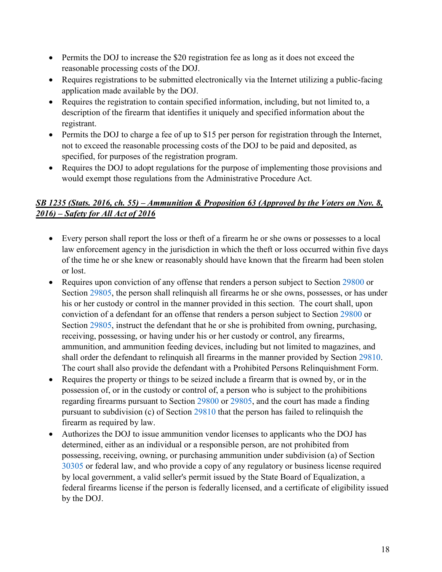- Permits the DOJ to increase the \$20 registration fee as long as it does not exceed the reasonable processing costs of the DOJ.
- Requires registrations to be submitted electronically via the Internet utilizing a public-facing application made available by the DOJ.
- Requires the registration to contain specified information, including, but not limited to, a description of the firearm that identifies it uniquely and specified information about the registrant.
- Permits the DOJ to charge a fee of up to \$15 per person for registration through the Internet, not to exceed the reasonable processing costs of the DOJ to be paid and deposited, as specified, for purposes of the registration program.
- Requires the DOJ to adopt regulations for the purpose of implementing those provisions and would exempt those regulations from the Administrative Procedure Act.

#### *[SB 1235 \(Stats. 2016, ch. 55\)](https://leginfo.legislature.ca.gov/faces/billNavClient.xhtml?bill_id=201520160SB1235) – Ammunition & Proposition 63 (Approved by the Voters on Nov. 8, 2016) – Safety for All Act of 2016*

- Every person shall report the loss or theft of a firearm he or she owns or possesses to a local law enforcement agency in the jurisdiction in which the theft or loss occurred within five days of the time he or she knew or reasonably should have known that the firearm had been stolen or lost.
- Requires upon conviction of any offense that renders a person subject to Section [29800](https://leginfo.legislature.ca.gov/faces/codes_displaySection.xhtml?sectionNum=29800.&lawCode=PEN) or Section [29805,](https://leginfo.legislature.ca.gov/faces/codes_displaySection.xhtml?sectionNum=29805.&lawCode=PEN) the person shall relinquish all firearms he or she owns, possesses, or has under his or her custody or control in the manner provided in this section. The court shall, upon conviction of a defendant for an offense that renders a person subject to Section [29800](https://leginfo.legislature.ca.gov/faces/codes_displaySection.xhtml?sectionNum=29800.&lawCode=PEN) or Section [29805,](https://leginfo.legislature.ca.gov/faces/codes_displaySection.xhtml?sectionNum=29805.&lawCode=PEN) instruct the defendant that he or she is prohibited from owning, purchasing, receiving, possessing, or having under his or her custody or control, any firearms, ammunition, and ammunition feeding devices, including but not limited to magazines, and shall order the defendant to relinquish all firearms in the manner provided by Section [29810.](https://leginfo.legislature.ca.gov/faces/codes_displaySection.xhtml?sectionNum=29810.&lawCode=PEN) The court shall also provide the defendant with a Prohibited Persons Relinquishment Form.
- Requires the property or things to be seized include a firearm that is owned by, or in the possession of, or in the custody or control of, a person who is subject to the prohibitions regarding firearms pursuant to Section [29800](https://leginfo.legislature.ca.gov/faces/codes_displaySection.xhtml?sectionNum=29800.&lawCode=PEN) or [29805,](https://leginfo.legislature.ca.gov/faces/codes_displaySection.xhtml?sectionNum=29805.&lawCode=PEN) and the court has made a finding pursuant to subdivision (c) of Section [29810](https://leginfo.legislature.ca.gov/faces/codes_displaySection.xhtml?sectionNum=29810.&lawCode=PEN) that the person has failed to relinquish the firearm as required by law.
- Authorizes the DOJ to issue ammunition vendor licenses to applicants who the DOJ has determined, either as an individual or a responsible person, are not prohibited from possessing, receiving, owning, or purchasing ammunition under subdivision (a) of Section [30305](https://leginfo.legislature.ca.gov/faces/codes_displaySection.xhtml?sectionNum=30305.&lawCode=PEN) or federal law, and who provide a copy of any regulatory or business license required by local government, a valid seller's permit issued by the State Board of Equalization, a federal firearms license if the person is federally licensed, and a certificate of eligibility issued by the DOJ.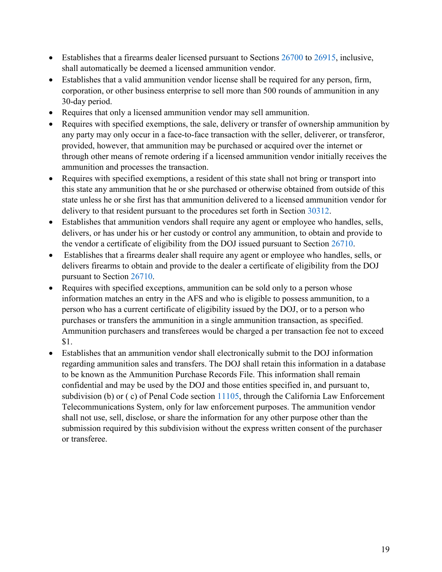- Establishes that a firearms dealer licensed pursuant to Sections [26700](https://leginfo.legislature.ca.gov/faces/codes_displaySection.xhtml?sectionNum=26700.&lawCode=PEN) to [26915,](https://leginfo.legislature.ca.gov/faces/codes_displaySection.xhtml?sectionNum=26915.&lawCode=PEN) inclusive, shall automatically be deemed a licensed ammunition vendor.
- Establishes that a valid ammunition vendor license shall be required for any person, firm, corporation, or other business enterprise to sell more than 500 rounds of ammunition in any 30-day period.
- Requires that only a licensed ammunition vendor may sell ammunition.
- Requires with specified exemptions, the sale, delivery or transfer of ownership ammunition by any party may only occur in a face-to-face transaction with the seller, deliverer, or transferor, provided, however, that ammunition may be purchased or acquired over the internet or through other means of remote ordering if a licensed ammunition vendor initially receives the ammunition and processes the transaction.
- Requires with specified exemptions, a resident of this state shall not bring or transport into this state any ammunition that he or she purchased or otherwise obtained from outside of this state unless he or she first has that ammunition delivered to a licensed ammunition vendor for delivery to that resident pursuant to the procedures set forth in Section [30312.](https://leginfo.legislature.ca.gov/faces/codes_displaySection.xhtml?sectionNum=30312.&lawCode=PEN)
- Establishes that ammunition vendors shall require any agent or employee who handles, sells, delivers, or has under his or her custody or control any ammunition, to obtain and provide to the vendor a certificate of eligibility from the DOJ issued pursuant to Section [26710.](https://leginfo.legislature.ca.gov/faces/codes_displaySection.xhtml?sectionNum=26710.&lawCode=PEN)
- Establishes that a firearms dealer shall require any agent or employee who handles, sells, or delivers firearms to obtain and provide to the dealer a certificate of eligibility from the DOJ pursuant to Section [26710.](https://leginfo.legislature.ca.gov/faces/codes_displaySection.xhtml?sectionNum=26710.&lawCode=PEN)
- Requires with specified exceptions, ammunition can be sold only to a person whose information matches an entry in the AFS and who is eligible to possess ammunition, to a person who has a current certificate of eligibility issued by the DOJ, or to a person who purchases or transfers the ammunition in a single ammunition transaction, as specified. Ammunition purchasers and transferees would be charged a per transaction fee not to exceed \$1.
- Establishes that an ammunition vendor shall electronically submit to the DOJ information regarding ammunition sales and transfers. The DOJ shall retain this information in a database to be known as the Ammunition Purchase Records File. This information shall remain confidential and may be used by the DOJ and those entities specified in, and pursuant to, subdivision (b) or (c) of Penal Code section [11105,](https://leginfo.legislature.ca.gov/faces/codes_displaySection.xhtml?sectionNum=11105.&lawCode=PEN) through the California Law Enforcement Telecommunications System, only for law enforcement purposes. The ammunition vendor shall not use, sell, disclose, or share the information for any other purpose other than the submission required by this subdivision without the express written consent of the purchaser or transferee.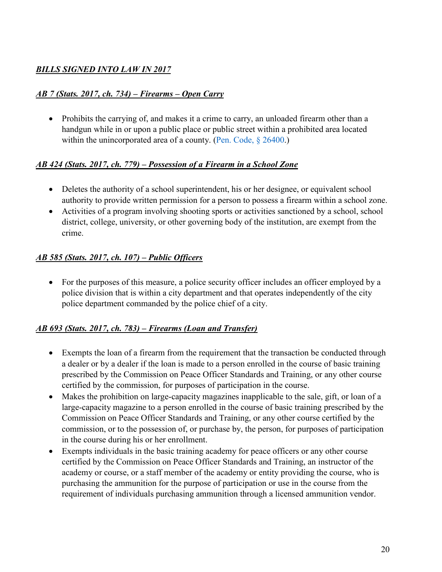#### *BILLS SIGNED INTO LAW IN 2017*

#### *[AB 7 \(Stats. 2017, ch. 734\) – Firearms – Open Carry](http://leginfo.legislature.ca.gov/faces/billNavClient.xhtml?bill_id=201720180AB7)*

• Prohibits the carrying of, and makes it a crime to carry, an unloaded firearm other than a handgun while in or upon a public place or public street within a prohibited area located within the unincorporated area of a county. [\(Pen. Code, § 26400.](https://leginfo.legislature.ca.gov/faces/codes_displaySection.xhtml?sectionNum=26400.&lawCode=PEN))

#### *[AB 424 \(Stats. 2017, ch. 779\) – Possession of a Firearm in a School Zone](http://leginfo.legislature.ca.gov/faces/billNavClient.xhtml?bill_id=201720180AB424)*

- Deletes the authority of a school superintendent, his or her designee, or equivalent school authority to provide written permission for a person to possess a firearm within a school zone.
- Activities of a program involving shooting sports or activities sanctioned by a school, school district, college, university, or other governing body of the institution, are exempt from the crime.

#### *[AB 585 \(Stats. 2017, ch. 107\) – Public Officers](http://leginfo.legislature.ca.gov/faces/billNavClient.xhtml?bill_id=201720180AB585)*

• For the purposes of this measure, a police security officer includes an officer employed by a police division that is within a city department and that operates independently of the city police department commanded by the police chief of a city.

#### *[AB 693 \(Stats. 2017, ch. 783\) – Firearms \(Loan and Transfer\)](http://leginfo.legislature.ca.gov/faces/billNavClient.xhtml?bill_id=201720180AB693)*

- Exempts the loan of a firearm from the requirement that the transaction be conducted through a dealer or by a dealer if the loan is made to a person enrolled in the course of basic training prescribed by the Commission on Peace Officer Standards and Training, or any other course certified by the commission, for purposes of participation in the course.
- Makes the prohibition on large-capacity magazines inapplicable to the sale, gift, or loan of a large-capacity magazine to a person enrolled in the course of basic training prescribed by the Commission on Peace Officer Standards and Training, or any other course certified by the commission, or to the possession of, or purchase by, the person, for purposes of participation in the course during his or her enrollment.
- Exempts individuals in the basic training academy for peace officers or any other course certified by the Commission on Peace Officer Standards and Training, an instructor of the academy or course, or a staff member of the academy or entity providing the course, who is purchasing the ammunition for the purpose of participation or use in the course from the requirement of individuals purchasing ammunition through a licensed ammunition vendor.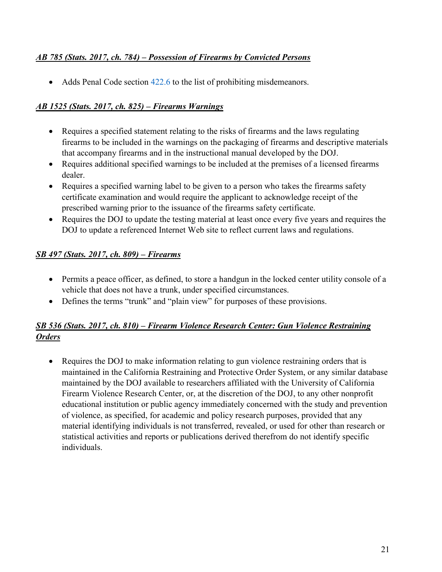#### *[AB 785 \(Stats. 2017, ch. 784\) – Possession of Firearms by Convicted Persons](http://leginfo.legislature.ca.gov/faces/billNavClient.xhtml?bill_id=201720180AB785)*

• Adds Penal Code section [422.6](https://leginfo.legislature.ca.gov/faces/codes_displaySection.xhtml?sectionNum=422.6.&lawCode=PEN) to the list of prohibiting misdemeanors.

#### *[AB 1525 \(Stats. 2017, ch. 825\) – Firearms Warnings](http://leginfo.legislature.ca.gov/faces/billNavClient.xhtml?bill_id=201720180AB1525)*

- Requires a specified statement relating to the risks of firearms and the laws regulating firearms to be included in the warnings on the packaging of firearms and descriptive materials that accompany firearms and in the instructional manual developed by the DOJ.
- Requires additional specified warnings to be included at the premises of a licensed firearms dealer.
- Requires a specified warning label to be given to a person who takes the firearms safety certificate examination and would require the applicant to acknowledge receipt of the prescribed warning prior to the issuance of the firearms safety certificate.
- Requires the DOJ to update the testing material at least once every five years and requires the DOJ to update a referenced Internet Web site to reflect current laws and regulations.

#### *[SB 497 \(Stats. 2017, ch. 809\) – Firearms](http://leginfo.legislature.ca.gov/faces/billNavClient.xhtml?bill_id=201720180SB497)*

- Permits a peace officer, as defined, to store a handgun in the locked center utility console of a vehicle that does not have a trunk, under specified circumstances.
- Defines the terms "trunk" and "plain view" for purposes of these provisions.

#### *[SB 536 \(Stats. 2017, ch. 810\) – Firearm Violence Research Center: Gun Violence Restraining](http://leginfo.legislature.ca.gov/faces/billNavClient.xhtml?bill_id=201720180SB536)  [Orders](http://leginfo.legislature.ca.gov/faces/billNavClient.xhtml?bill_id=201720180SB536)*

• Requires the DOJ to make information relating to gun violence restraining orders that is maintained in the California Restraining and Protective Order System, or any similar database maintained by the DOJ available to researchers affiliated with the University of California Firearm Violence Research Center, or, at the discretion of the DOJ, to any other nonprofit educational institution or public agency immediately concerned with the study and prevention of violence, as specified, for academic and policy research purposes, provided that any material identifying individuals is not transferred, revealed, or used for other than research or statistical activities and reports or publications derived therefrom do not identify specific individuals.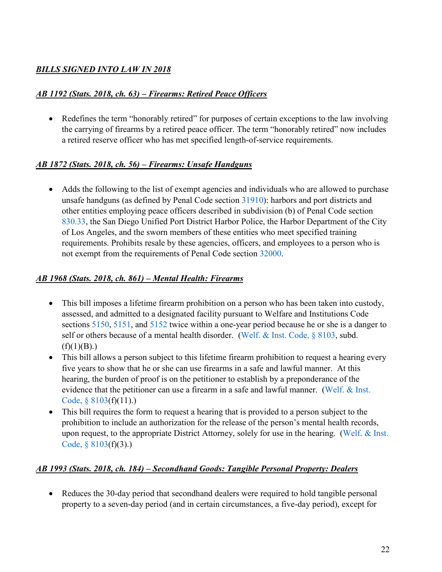#### *BILLS SIGNED INTO LAW IN 2018*

#### *[AB 1192 \(Stats. 2018, ch. 63\) – Firearms: Retired Peace Officers](http://leginfo.legislature.ca.gov/faces/billNavClient.xhtml?bill_id=201720180AB1192)*

• Redefines the term "honorably retired" for purposes of certain exceptions to the law involving the carrying of firearms by a retired peace officer. The term "honorably retired" now includes a retired reserve officer who has met specified length-of-service requirements.

#### *[AB 1872 \(Stats. 2018, ch. 56\) – Firearms: Unsafe Handguns](http://leginfo.legislature.ca.gov/faces/billNavClient.xhtml?bill_id=201720180AB1872)*

• Adds the following to the list of exempt agencies and individuals who are allowed to purchase unsafe handguns (as defined by Penal Code section [31910\)](https://leginfo.legislature.ca.gov/faces/codes_displaySection.xhtml?sectionNum=31910.&lawCode=PEN): harbors and port districts and other entities employing peace officers described in subdivision (b) of Penal Code section [830.33,](https://leginfo.legislature.ca.gov/faces/codes_displaySection.xhtml?sectionNum=830.33.&lawCode=PEN) the San Diego Unified Port District Harbor Police, the Harbor Department of the City of Los Angeles, and the sworn members of these entities who meet specified training requirements. Prohibits resale by these agencies, officers, and employees to a person who is not exempt from the requirements of Penal Code section [32000.](https://leginfo.legislature.ca.gov/faces/codes_displaySection.xhtml?sectionNum=32000.&lawCode=PEN)

#### *[AB 1968 \(Stats. 2018, ch. 861\) – Mental Health: Firearms](http://leginfo.legislature.ca.gov/faces/billNavClient.xhtml?bill_id=201720180AB1968)*

- This bill imposes a lifetime firearm prohibition on a person who has been taken into custody, assessed, and admitted to a designated facility pursuant to Welfare and Institutions Code sections [5150,](https://leginfo.legislature.ca.gov/faces/codes_displaySection.xhtml?sectionNum=5150.&lawCode=WIC) [5151,](https://leginfo.legislature.ca.gov/faces/codes_displaySection.xhtml?sectionNum=5151.&lawCode=WIC) and [5152](https://leginfo.legislature.ca.gov/faces/codes_displaySection.xhtml?sectionNum=5152.&lawCode=WIC) twice within a one-year period because he or she is a danger to self or others because of a mental health disorder. (Welf. & Inst. Code,  $\S$  8103, subd.  $(f)(1)(B)$ .)
- This bill allows a person subject to this lifetime firearm prohibition to request a hearing every five years to show that he or she can use firearms in a safe and lawful manner. At this hearing, the burden of proof is on the petitioner to establish by a preponderance of the evidence that the petitioner can use a firearm in a safe and lawful manner. [\(Welf. & Inst.](https://leginfo.legislature.ca.gov/faces/codes_displaySection.xhtml?sectionNum=8103.&lawCode=WIC)  [Code, § 8103\(](https://leginfo.legislature.ca.gov/faces/codes_displaySection.xhtml?sectionNum=8103.&lawCode=WIC)f)(11).)
- This bill requires the form to request a hearing that is provided to a person subject to the prohibition to include an authorization for the release of the person's mental health records, upon request, to the appropriate District Attorney, solely for use in the hearing. [\(Welf. & Inst.](https://leginfo.legislature.ca.gov/faces/codes_displaySection.xhtml?sectionNum=8103.&lawCode=WIC)  [Code, § 8103\(](https://leginfo.legislature.ca.gov/faces/codes_displaySection.xhtml?sectionNum=8103.&lawCode=WIC)f)(3).)

#### *[AB 1993 \(Stats. 2018, ch. 184\) – Secondhand Goods: Tangible Personal Property: Dealers](http://leginfo.legislature.ca.gov/faces/billNavClient.xhtml?bill_id=201720180AB1993)*

• Reduces the 30-day period that secondhand dealers were required to hold tangible personal property to a seven-day period (and in certain circumstances, a five-day period), except for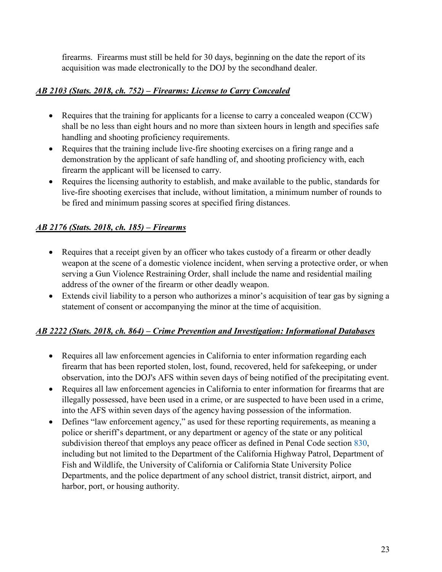firearms. Firearms must still be held for 30 days, beginning on the date the report of its acquisition was made electronically to the DOJ by the secondhand dealer.

#### *[AB 2103 \(Stats. 2018, ch. 752\) – Firearms: License to Carry Concealed](http://leginfo.legislature.ca.gov/faces/billNavClient.xhtml?bill_id=201720180AB1993)*

- Requires that the training for applicants for a license to carry a concealed weapon (CCW) shall be no less than eight hours and no more than sixteen hours in length and specifies safe handling and shooting proficiency requirements.
- Requires that the training include live-fire shooting exercises on a firing range and a demonstration by the applicant of safe handling of, and shooting proficiency with, each firearm the applicant will be licensed to carry.
- Requires the licensing authority to establish, and make available to the public, standards for live-fire shooting exercises that include, without limitation, a minimum number of rounds to be fired and minimum passing scores at specified firing distances.

# *[AB 2176 \(Stats. 2018, ch. 185\) – Firearms](http://leginfo.legislature.ca.gov/faces/billNavClient.xhtml?bill_id=201720180AB2176)*

- Requires that a receipt given by an officer who takes custody of a firearm or other deadly weapon at the scene of a domestic violence incident, when serving a protective order, or when serving a Gun Violence Restraining Order, shall include the name and residential mailing address of the owner of the firearm or other deadly weapon.
- Extends civil liability to a person who authorizes a minor's acquisition of tear gas by signing a statement of consent or accompanying the minor at the time of acquisition.

#### *[AB 2222 \(Stats. 2018, ch. 864\) – Crime Prevention and Investigation: Informational Databases](http://leginfo.legislature.ca.gov/faces/billNavClient.xhtml?bill_id=201720180AB2222)*

- Requires all law enforcement agencies in California to enter information regarding each firearm that has been reported stolen, lost, found, recovered, held for safekeeping, or under observation, into the DOJ's AFS within seven days of being notified of the precipitating event.
- Requires all law enforcement agencies in California to enter information for firearms that are illegally possessed, have been used in a crime, or are suspected to have been used in a crime, into the AFS within seven days of the agency having possession of the information.
- Defines "law enforcement agency," as used for these reporting requirements, as meaning a police or sheriff's department, or any department or agency of the state or any political subdivision thereof that employs any peace officer as defined in Penal Code section [830,](https://leginfo.legislature.ca.gov/faces/codes_displaySection.xhtml?sectionNum=830.&lawCode=PEN) including but not limited to the Department of the California Highway Patrol, Department of Fish and Wildlife, the University of California or California State University Police Departments, and the police department of any school district, transit district, airport, and harbor, port, or housing authority.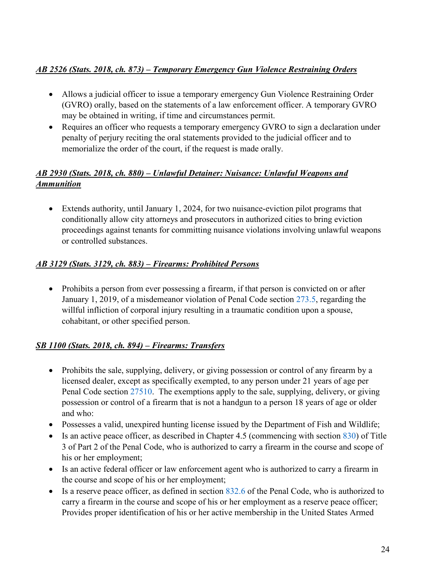#### *[AB 2526 \(Stats. 2018, ch. 873\) – Temporary Emergency Gun Violence Restraining Orders](http://leginfo.legislature.ca.gov/faces/billNavClient.xhtml?bill_id=201720180AB2526)*

- Allows a judicial officer to issue a temporary emergency Gun Violence Restraining Order (GVRO) orally, based on the statements of a law enforcement officer. A temporary GVRO may be obtained in writing, if time and circumstances permit.
- Requires an officer who requests a temporary emergency GVRO to sign a declaration under penalty of perjury reciting the oral statements provided to the judicial officer and to memorialize the order of the court, if the request is made orally.

#### *[AB 2930 \(Stats. 2018, ch. 880\) – Unlawful Detainer: Nuisance: Unlawful Weapons and](http://leginfo.legislature.ca.gov/faces/billNavClient.xhtml?bill_id=201720180AB2930)  [Ammunition](http://leginfo.legislature.ca.gov/faces/billNavClient.xhtml?bill_id=201720180AB2930)*

• Extends authority, until January 1, 2024, for two nuisance-eviction pilot programs that conditionally allow city attorneys and prosecutors in authorized cities to bring eviction proceedings against tenants for committing nuisance violations involving unlawful weapons or controlled substances.

#### *[AB 3129 \(Stats. 3129, ch. 883\) – Firearms: Prohibited Persons](http://leginfo.legislature.ca.gov/faces/billNavClient.xhtml?bill_id=201720180AB3129)*

• Prohibits a person from ever possessing a firearm, if that person is convicted on or after January 1, 2019, of a misdemeanor violation of Penal Code section [273.5,](https://leginfo.legislature.ca.gov/faces/codes_displaySection.xhtml?sectionNum=273.5.&lawCode=PEN) regarding the willful infliction of corporal injury resulting in a traumatic condition upon a spouse, cohabitant, or other specified person.

#### *[SB 1100 \(Stats. 2018, ch. 894\) – Firearms: Transfers](http://leginfo.legislature.ca.gov/faces/billNavClient.xhtml?bill_id=201720180SB1100)*

- Prohibits the sale, supplying, delivery, or giving possession or control of any firearm by a licensed dealer, except as specifically exempted, to any person under 21 years of age per Penal Code section [27510.](https://leginfo.legislature.ca.gov/faces/codes_displaySection.xhtml?sectionNum=27510.&lawCode=PEN) The exemptions apply to the sale, supplying, delivery, or giving possession or control of a firearm that is not a handgun to a person 18 years of age or older and who:
- Possesses a valid, unexpired hunting license issued by the Department of Fish and Wildlife;
- Is an active peace officer, as described in Chapter 4.5 (commencing with section [830\)](https://leginfo.legislature.ca.gov/faces/codes_displaySection.xhtml?sectionNum=830.&lawCode=PEN) of Title 3 of Part 2 of the Penal Code, who is authorized to carry a firearm in the course and scope of his or her employment;
- Is an active federal officer or law enforcement agent who is authorized to carry a firearm in the course and scope of his or her employment;
- Is a reserve peace officer, as defined in section [832.6](https://leginfo.legislature.ca.gov/faces/codes_displaySection.xhtml?sectionNum=832.6.&lawCode=PEN) of the Penal Code, who is authorized to carry a firearm in the course and scope of his or her employment as a reserve peace officer; Provides proper identification of his or her active membership in the United States Armed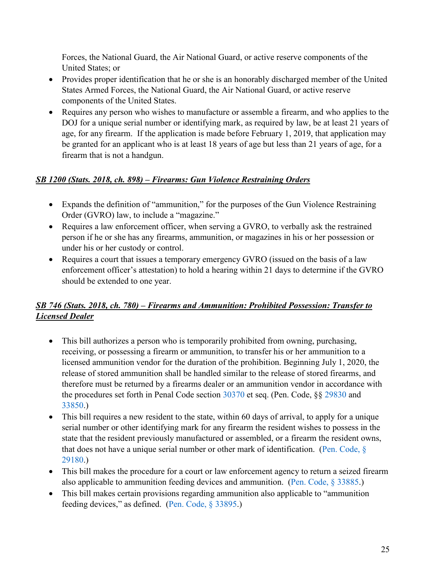Forces, the National Guard, the Air National Guard, or active reserve components of the United States; or

- Provides proper identification that he or she is an honorably discharged member of the United States Armed Forces, the National Guard, the Air National Guard, or active reserve components of the United States.
- Requires any person who wishes to manufacture or assemble a firearm, and who applies to the DOJ for a unique serial number or identifying mark, as required by law, be at least 21 years of age, for any firearm. If the application is made before February 1, 2019, that application may be granted for an applicant who is at least 18 years of age but less than 21 years of age, for a firearm that is not a handgun.

#### *[SB 1200 \(Stats. 2018, ch. 898\) – Firearms: Gun Violence Restraining Orders](http://leginfo.legislature.ca.gov/faces/billNavClient.xhtml?bill_id=201720180SB1200)*

- Expands the definition of "ammunition," for the purposes of the Gun Violence Restraining Order (GVRO) law, to include a "magazine."
- Requires a law enforcement officer, when serving a GVRO, to verbally ask the restrained person if he or she has any firearms, ammunition, or magazines in his or her possession or under his or her custody or control.
- Requires a court that issues a temporary emergency GVRO (issued on the basis of a law enforcement officer's attestation) to hold a hearing within 21 days to determine if the GVRO should be extended to one year.

#### *[SB 746 \(Stats. 2018, ch. 780\) – Firearms and Ammunition: Prohibited Possession: Transfer to](http://leginfo.legislature.ca.gov/faces/billNavClient.xhtml?bill_id=201720180SB746)  [Licensed Dealer](http://leginfo.legislature.ca.gov/faces/billNavClient.xhtml?bill_id=201720180SB746)*

- This bill authorizes a person who is temporarily prohibited from owning, purchasing, receiving, or possessing a firearm or ammunition, to transfer his or her ammunition to a licensed ammunition vendor for the duration of the prohibition. Beginning July 1, 2020, the release of stored ammunition shall be handled similar to the release of stored firearms, and therefore must be returned by a firearms dealer or an ammunition vendor in accordance with the procedures set forth in Penal Code section [30370](https://leginfo.legislature.ca.gov/faces/codes_displaySection.xhtml?sectionNum=30370.&lawCode=PEN) et seq. (Pen. Code, §§ [29830](https://leginfo.legislature.ca.gov/faces/codes_displaySection.xhtml?sectionNum=29830.&lawCode=PEN) and [33850.](https://leginfo.legislature.ca.gov/faces/codes_displaySection.xhtml?sectionNum=33850.&lawCode=PEN))
- This bill requires a new resident to the state, within 60 days of arrival, to apply for a unique serial number or other identifying mark for any firearm the resident wishes to possess in the state that the resident previously manufactured or assembled, or a firearm the resident owns, that does not have a unique serial number or other mark of identification. (Pen. Code,  $\S$ ) [29180.](https://leginfo.legislature.ca.gov/faces/codes_displaySection.xhtml?sectionNum=29180.&lawCode=PEN))
- This bill makes the procedure for a court or law enforcement agency to return a seized firearm also applicable to ammunition feeding devices and ammunition. [\(Pen. Code, § 33885.](https://leginfo.legislature.ca.gov/faces/codes_displaySection.xhtml?sectionNum=33885.&lawCode=PEN))
- This bill makes certain provisions regarding ammunition also applicable to "ammunition feeding devices," as defined. [\(Pen. Code, § 33895.](https://leginfo.legislature.ca.gov/faces/codes_displaySection.xhtml?sectionNum=33895.&lawCode=PEN))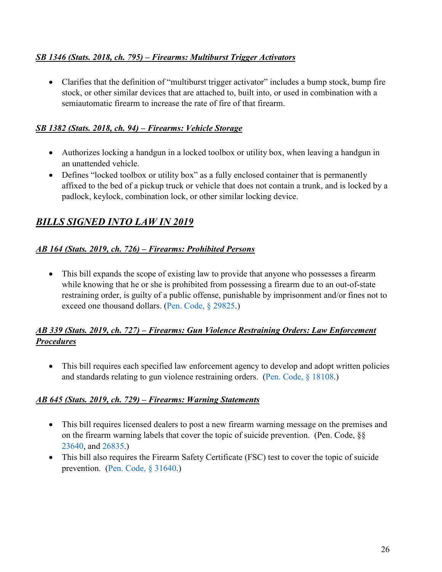#### *[SB 1346 \(Stats. 2018, ch. 795\) – Firearms: Multiburst Trigger Activators](http://leginfo.legislature.ca.gov/faces/billNavClient.xhtml?bill_id=201720180SB1346)*

• Clarifies that the definition of "multiburst trigger activator" includes a bump stock, bump fire stock, or other similar devices that are attached to, built into, or used in combination with a semiautomatic firearm to increase the rate of fire of that firearm.

#### *[SB 1382 \(Stats. 2018, ch. 94\) – Firearms: Vehicle Storage](http://leginfo.legislature.ca.gov/faces/billNavClient.xhtml?bill_id=201720180SB1382)*

- Authorizes locking a handgun in a locked toolbox or utility box, when leaving a handgun in an unattended vehicle.
- Defines "locked toolbox or utility box" as a fully enclosed container that is permanently affixed to the bed of a pickup truck or vehicle that does not contain a trunk, and is locked by a padlock, keylock, combination lock, or other similar locking device.

# *BILLS SIGNED INTO LAW IN 2019*

#### *[AB 164 \(Stats. 2019, ch. 726\) – Firearms: Prohibited Persons](http://leginfo.legislature.ca.gov/faces/billNavClient.xhtml?bill_id=201920200AB164)*

• This bill expands the scope of existing law to provide that anyone who possesses a firearm while knowing that he or she is prohibited from possessing a firearm due to an out-of-state restraining order, is guilty of a public offense, punishable by imprisonment and/or fines not to exceed one thousand dollars. [\(Pen. Code, § 29825.](https://leginfo.legislature.ca.gov/faces/codes_displaySection.xhtml?sectionNum=29825.&lawCode=PEN))

#### *[AB 339 \(Stats. 2019, ch. 727\) – Firearms: Gun Violence Restraining Orders: Law Enforcement](http://leginfo.legislature.ca.gov/faces/billNavClient.xhtml?bill_id=201920200AB339)  [Procedures](http://leginfo.legislature.ca.gov/faces/billNavClient.xhtml?bill_id=201920200AB339)*

• This bill requires each specified law enforcement agency to develop and adopt written policies and standards relating to gun violence restraining orders. [\(Pen. Code, § 18108.](https://leginfo.legislature.ca.gov/faces/codes_displaySection.xhtml?sectionNum=18108.&lawCode=PEN))

#### *[AB 645 \(Stats. 2019, ch. 729\) – Firearms: Warning Statements](http://leginfo.legislature.ca.gov/faces/billNavClient.xhtml?bill_id=201920200AB645)*

- This bill requires licensed dealers to post a new firearm warning message on the premises and on the firearm warning labels that cover the topic of suicide prevention. (Pen. Code, §§ [23640,](https://leginfo.legislature.ca.gov/faces/codes_displaySection.xhtml?sectionNum=23640.&lawCode=PEN) and [26835.](https://leginfo.legislature.ca.gov/faces/codes_displaySection.xhtml?sectionNum=26835.&lawCode=PEN))
- This bill also requires the Firearm Safety Certificate (FSC) test to cover the topic of suicide prevention. [\(Pen. Code, § 31640.](https://leginfo.legislature.ca.gov/faces/codes_displaySection.xhtml?sectionNum=31640.&lawCode=PEN))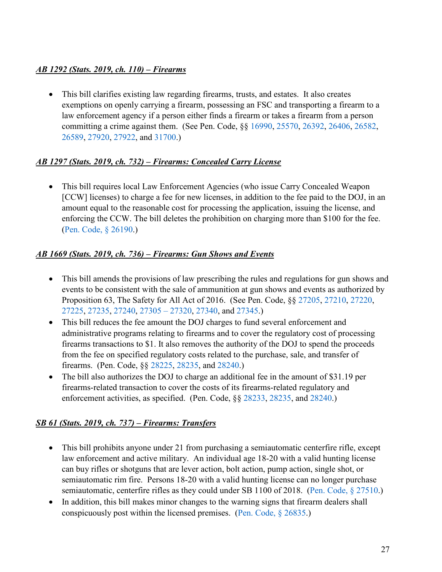#### *[AB 1292 \(Stats. 2019, ch. 110\) – Firearms](http://leginfo.legislature.ca.gov/faces/billNavClient.xhtml?bill_id=201920200AB1292)*

• This bill clarifies existing law regarding firearms, trusts, and estates. It also creates exemptions on openly carrying a firearm, possessing an FSC and transporting a firearm to a law enforcement agency if a person either finds a firearm or takes a firearm from a person committing a crime against them. (See Pen. Code, §§ [16990,](https://leginfo.legislature.ca.gov/faces/codes_displaySection.xhtml?sectionNum=16990.&lawCode=PEN) [25570,](https://leginfo.legislature.ca.gov/faces/codes_displaySection.xhtml?sectionNum=25570.&lawCode=PEN) [26392,](https://leginfo.legislature.ca.gov/faces/codes_displaySection.xhtml?sectionNum=26392.&lawCode=PEN) [26406,](https://leginfo.legislature.ca.gov/faces/codes_displaySection.xhtml?sectionNum=26406.&lawCode=PEN) [26582,](https://leginfo.legislature.ca.gov/faces/codes_displaySection.xhtml?sectionNum=26582.&lawCode=PEN) [26589,](https://leginfo.legislature.ca.gov/faces/codes_displaySection.xhtml?sectionNum=26589.&lawCode=PEN) [27920,](https://leginfo.legislature.ca.gov/faces/codes_displaySection.xhtml?sectionNum=27920.&lawCode=PEN) [27922,](https://leginfo.legislature.ca.gov/faces/codes_displaySection.xhtml?sectionNum=27922.&lawCode=PEN) and [31700.](https://leginfo.legislature.ca.gov/faces/codes_displaySection.xhtml?sectionNum=31700.&lawCode=PEN))

#### *[AB 1297 \(Stats. 2019, ch. 732\) – Firearms: Concealed Carry License](http://leginfo.legislature.ca.gov/faces/billNavClient.xhtml?bill_id=201920200AB1297)*

• This bill requires local Law Enforcement Agencies (who issue Carry Concealed Weapon [CCW] licenses) to charge a fee for new licenses, in addition to the fee paid to the DOJ, in an amount equal to the reasonable cost for processing the application, issuing the license, and enforcing the CCW. The bill deletes the prohibition on charging more than \$100 for the fee. [\(Pen. Code, § 26190.](https://leginfo.legislature.ca.gov/faces/codes_displaySection.xhtml?sectionNum=26190.&lawCode=PEN))

#### *[AB 1669 \(Stats. 2019, ch. 736\) – Firearms: Gun Shows and Events](http://leginfo.legislature.ca.gov/faces/billNavClient.xhtml?bill_id=201920200AB1669)*

- This bill amends the provisions of law prescribing the rules and regulations for gun shows and events to be consistent with the sale of ammunition at gun shows and events as authorized by Proposition 63, The Safety for All Act of 2016. (See Pen. Code, §§ [27205,](https://leginfo.legislature.ca.gov/faces/codes_displaySection.xhtml?sectionNum=27205.&lawCode=PEN) [27210,](https://leginfo.legislature.ca.gov/faces/codes_displaySection.xhtml?sectionNum=27210.&lawCode=PEN) [27220,](https://leginfo.legislature.ca.gov/faces/codes_displaySection.xhtml?sectionNum=27220.&lawCode=PEN) [27225,](https://leginfo.legislature.ca.gov/faces/codes_displaySection.xhtml?sectionNum=27225.&lawCode=PEN) [27235,](https://leginfo.legislature.ca.gov/faces/codes_displaySection.xhtml?sectionNum=27235.&lawCode=PEN) [27240,](https://leginfo.legislature.ca.gov/faces/codes_displaySection.xhtml?sectionNum=27240.&lawCode=PEN) [27305 – 27320,](https://leginfo.legislature.ca.gov/faces/codes_displayText.xhtml?division=6.&chapter=3.&part=6.&lawCode=PEN&title=4.&article=2.) [27340,](https://leginfo.legislature.ca.gov/faces/codes_displaySection.xhtml?lawCode=PEN§ionNum=27340.) and [27345.](https://leginfo.legislature.ca.gov/faces/codes_displaySection.xhtml?lawCode=PEN§ionNum=27345.))
- This bill reduces the fee amount the DOJ charges to fund several enforcement and administrative programs relating to firearms and to cover the regulatory cost of processing firearms transactions to \$1. It also removes the authority of the DOJ to spend the proceeds from the fee on specified regulatory costs related to the purchase, sale, and transfer of firearms. (Pen. Code, §§ [28225,](https://leginfo.legislature.ca.gov/faces/codes_displaySection.xhtml?sectionNum=28225.&lawCode=PEN) [28235,](https://leginfo.legislature.ca.gov/faces/codes_displaySection.xhtml?sectionNum=28235.&lawCode=PEN) and [28240.](https://leginfo.legislature.ca.gov/faces/codes_displaySection.xhtml?sectionNum=28240.&lawCode=PEN))
- The bill also authorizes the DOJ to charge an additional fee in the amount of \$31.19 per firearms-related transaction to cover the costs of its firearms-related regulatory and enforcement activities, as specified. (Pen. Code, §§ [28233,](https://leginfo.legislature.ca.gov/faces/codes_displaySection.xhtml?sectionNum=28233.&lawCode=PEN) [28235,](https://leginfo.legislature.ca.gov/faces/codes_displaySection.xhtml?sectionNum=28235.&lawCode=PEN) and [28240.](https://leginfo.legislature.ca.gov/faces/codes_displaySection.xhtml?sectionNum=28240.&lawCode=PEN))

#### *[SB 61 \(Stats. 2019, ch. 737\) – Firearms: Transfers](http://leginfo.legislature.ca.gov/faces/billNavClient.xhtml?bill_id=201920200SB61)*

- This bill prohibits anyone under 21 from purchasing a semiautomatic centerfire rifle, except law enforcement and active military. An individual age 18-20 with a valid hunting license can buy rifles or shotguns that are lever action, bolt action, pump action, single shot, or semiautomatic rim fire. Persons 18-20 with a valid hunting license can no longer purchase semiautomatic, centerfire rifles as they could under SB 1100 of 2018. [\(Pen. Code, § 27510.](https://leginfo.legislature.ca.gov/faces/codes_displaySection.xhtml?sectionNum=27510.&lawCode=PEN))
- In addition, this bill makes minor changes to the warning signs that firearm dealers shall conspicuously post within the licensed premises. [\(Pen. Code, § 26835.](https://leginfo.legislature.ca.gov/faces/codes_displaySection.xhtml?sectionNum=26835.&lawCode=PEN))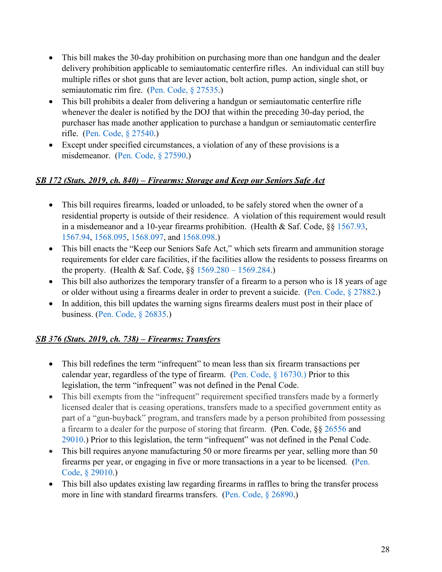- This bill makes the 30-day prohibition on purchasing more than one handgun and the dealer delivery prohibition applicable to semiautomatic centerfire rifles. An individual can still buy multiple rifles or shot guns that are lever action, bolt action, pump action, single shot, or semiautomatic rim fire. [\(Pen. Code, § 27535.](https://leginfo.legislature.ca.gov/faces/codes_displaySection.xhtml?sectionNum=27535.&lawCode=PEN))
- This bill prohibits a dealer from delivering a handgun or semiautomatic centerfire rifle whenever the dealer is notified by the DOJ that within the preceding 30-day period, the purchaser has made another application to purchase a handgun or semiautomatic centerfire rifle. [\(Pen. Code, § 27540.](https://leginfo.legislature.ca.gov/faces/codes_displaySection.xhtml?sectionNum=27540.&lawCode=PEN))
- Except under specified circumstances, a violation of any of these provisions is a misdemeanor. [\(Pen. Code, § 27590.](https://leginfo.legislature.ca.gov/faces/codes_displaySection.xhtml?sectionNum=27590.&lawCode=PEN))

#### *[SB 172 \(Stats. 2019, ch. 840\) – Firearms: Storage and Keep our Seniors Safe Act](http://leginfo.legislature.ca.gov/faces/billNavClient.xhtml?bill_id=201920200SB172)*

- This bill requires firearms, loaded or unloaded, to be safely stored when the owner of a residential property is outside of their residence. A violation of this requirement would result in a misdemeanor and a 10-year firearms prohibition. (Health & Saf. Code, §§ [1567.93,](https://leginfo.legislature.ca.gov/faces/codes_displaySection.xhtml?lawCode=HSC§ionNum=1567.93.) [1567.94,](https://leginfo.legislature.ca.gov/faces/codes_displaySection.xhtml?lawCode=HSC§ionNum=1567.94.) [1568.095,](https://leginfo.legislature.ca.gov/faces/codes_displaySection.xhtml?sectionNum=1568.095.&lawCode=HSC) [1568.097,](https://leginfo.legislature.ca.gov/faces/codes_displaySection.xhtml?sectionNum=1568.097.&lawCode=HSC) and [1568.098.](https://leginfo.legislature.ca.gov/faces/codes_displaySection.xhtml?sectionNum=1568.098.&lawCode=HSC))
- This bill enacts the "Keep our Seniors Safe Act," which sets firearm and ammunition storage requirements for elder care facilities, if the facilities allow the residents to possess firearms on the property. (Health & Saf. Code, §§ [1569.280 – 1569.284.](https://leginfo.legislature.ca.gov/faces/codes_displayText.xhtml?division=2.&chapter=3.2.&lawCode=HSC&article=2.7.))
- This bill also authorizes the temporary transfer of a firearm to a person who is 18 years of age or older without using a firearms dealer in order to prevent a suicide. [\(Pen. Code, § 27882.](https://leginfo.legislature.ca.gov/faces/codes_displaySection.xhtml?sectionNum=27882.&lawCode=PEN))
- In addition, this bill updates the warning signs firearms dealers must post in their place of business. [\(Pen. Code, § 26835.](https://leginfo.legislature.ca.gov/faces/codes_displaySection.xhtml?lawCode=PEN§ionNum=26835.))

#### *[SB 376 \(Stats. 2019, ch. 738\) – Firearms: Transfers](http://leginfo.legislature.ca.gov/faces/billNavClient.xhtml?bill_id=201920200SB376)*

- This bill redefines the term "infrequent" to mean less than six firearm transactions per calendar year, regardless of the type of firearm. (Pen. Code,  $\S$  16730.) Prior to this legislation, the term "infrequent" was not defined in the Penal Code.
- This bill exempts from the "infrequent" requirement specified transfers made by a formerly licensed dealer that is ceasing operations, transfers made to a specified government entity as part of a "gun-buyback" program, and transfers made by a person prohibited from possessing a firearm to a dealer for the purpose of storing that firearm. (Pen. Code, §§ [26556](https://leginfo.legislature.ca.gov/faces/codes_displaySection.xhtml?sectionNum=26556.&lawCode=PEN) and [29010.](https://leginfo.legislature.ca.gov/faces/codes_displaySection.xhtml?sectionNum=29010.&lawCode=PEN)) Prior to this legislation, the term "infrequent" was not defined in the Penal Code.
- This bill requires anyone manufacturing 50 or more firearms per year, selling more than 50 firearms per year, or engaging in five or more transactions in a year to be licensed. [\(Pen.](https://leginfo.legislature.ca.gov/faces/codes_displaySection.xhtml?sectionNum=29010.&lawCode=PEN)  [Code, § 29010.](https://leginfo.legislature.ca.gov/faces/codes_displaySection.xhtml?sectionNum=29010.&lawCode=PEN))
- This bill also updates existing law regarding firearms in raffles to bring the transfer process more in line with standard firearms transfers. [\(Pen. Code, § 26890.](https://leginfo.legislature.ca.gov/faces/codes_displaySection.xhtml?sectionNum=26890.&lawCode=PEN))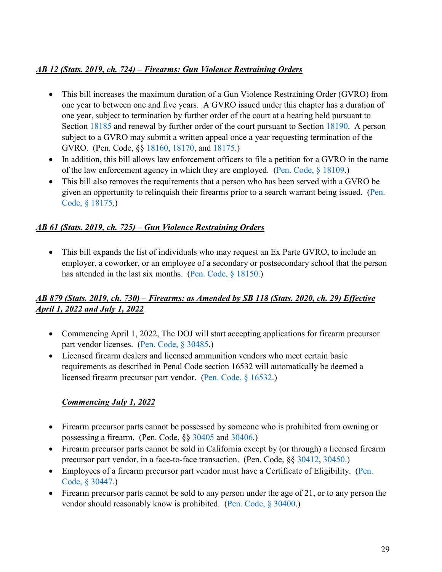#### *[AB 12 \(Stats. 2019, ch. 724\) – Firearms: Gun Violence Restraining Orders](http://leginfo.legislature.ca.gov/faces/billNavClient.xhtml?bill_id=201920200AB12)*

- This bill increases the maximum duration of a Gun Violence Restraining Order (GVRO) from one year to between one and five years. A GVRO issued under this chapter has a duration of one year, subject to termination by further order of the court at a hearing held pursuant to Section [18185](https://leginfo.legislature.ca.gov/faces/codes_displaySection.xhtml?sectionNum=18185.&lawCode=PEN) and renewal by further order of the court pursuant to Section [18190.](https://leginfo.legislature.ca.gov/faces/codes_displaySection.xhtml?sectionNum=18190.&lawCode=PEN) A person subject to a GVRO may submit a written appeal once a year requesting termination of the GVRO. (Pen. Code, §§ [18160,](https://leginfo.legislature.ca.gov/faces/codes_displaySection.xhtml?sectionNum=18160.&lawCode=PEN) [18170,](https://leginfo.legislature.ca.gov/faces/codes_displaySection.xhtml?sectionNum=18170.&lawCode=PEN) and [18175.](https://leginfo.legislature.ca.gov/faces/codes_displaySection.xhtml?sectionNum=18175.&lawCode=PEN))
- In addition, this bill allows law enforcement officers to file a petition for a GVRO in the name of the law enforcement agency in which they are employed. [\(Pen. Code, § 18109.](https://leginfo.legislature.ca.gov/faces/codes_displaySection.xhtml?sectionNum=18109.&lawCode=PEN))
- This bill also removes the requirements that a person who has been served with a GVRO be given an opportunity to relinquish their firearms prior to a search warrant being issued. [\(Pen.](https://leginfo.legislature.ca.gov/faces/codes_displaySection.xhtml?sectionNum=18175.&lawCode=PEN)  [Code, § 18175.](https://leginfo.legislature.ca.gov/faces/codes_displaySection.xhtml?sectionNum=18175.&lawCode=PEN))

#### *AB 61 (Stats. 2019, ch. 725) – Gun Violence Restraining Orders*

• This bill expands the list of individuals who may request an Ex Parte GVRO, to include an employer, a coworker, or an employee of a secondary or postsecondary school that the person has attended in the last six months. [\(Pen. Code, § 18150.](https://leginfo.legislature.ca.gov/faces/codes_displaySection.xhtml?sectionNum=18150.&lawCode=PEN))

#### *[AB 879 \(Stats. 2019, ch. 730\) – Firearms:](http://leginfo.legislature.ca.gov/faces/billNavClient.xhtml?bill_id=201920200AB879) as Amended by [SB 118 \(Stats. 2020, ch. 29\)](http://leginfo.legislature.ca.gov/faces/billNavClient.xhtml?bill_id=201920200SB118) Effective April 1, 2022 and July 1, 2022*

- Commencing April 1, 2022, The DOJ will start accepting applications for firearm precursor part vendor licenses. [\(Pen. Code, § 30485.](https://leginfo.legislature.ca.gov/faces/codes_displaySection.xhtml?sectionNum=30485.&lawCode=PEN))
- Licensed firearm dealers and licensed ammunition vendors who meet certain basic requirements as described in Penal Code section 16532 will automatically be deemed a licensed firearm precursor part vendor. [\(Pen. Code, § 16532.](https://leginfo.legislature.ca.gov/faces/codes_displaySection.xhtml?sectionNum=16532.&lawCode=PEN))

#### *Commencing July 1, 2022*

- Firearm precursor parts cannot be possessed by someone who is prohibited from owning or possessing a firearm. (Pen. Code, §§ [30405](https://leginfo.legislature.ca.gov/faces/codes_displaySection.xhtml?sectionNum=30405.&lawCode=PEN) and [30406.](https://leginfo.legislature.ca.gov/faces/codes_displaySection.xhtml?sectionNum=30406.&lawCode=PEN))
- Firearm precursor parts cannot be sold in California except by (or through) a licensed firearm precursor part vendor, in a face-to-face transaction. (Pen. Code, §§ [30412,](https://leginfo.legislature.ca.gov/faces/codes_displaySection.xhtml?sectionNum=30412.&lawCode=PEN) [30450.](https://leginfo.legislature.ca.gov/faces/codes_displaySection.xhtml?sectionNum=30450.&lawCode=PEN))
- Employees of a firearm precursor part vendor must have a Certificate of Eligibility. (Pen. [Code, § 30447.](https://leginfo.legislature.ca.gov/faces/codes_displaySection.xhtml?sectionNum=30447.&lawCode=PEN))
- Firearm precursor parts cannot be sold to any person under the age of 21, or to any person the vendor should reasonably know is prohibited. [\(Pen. Code, § 30400.](https://leginfo.legislature.ca.gov/faces/codes_displaySection.xhtml?sectionNum=30400.&lawCode=PEN))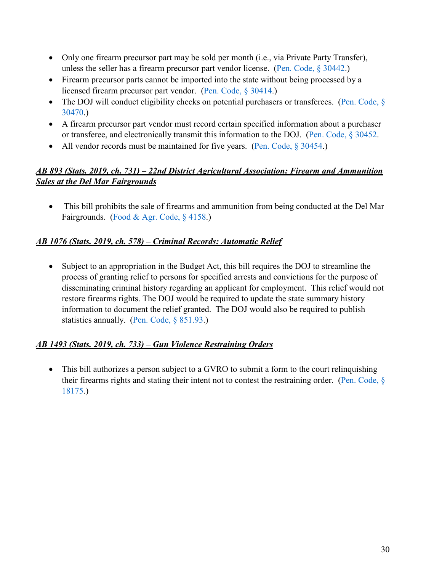- Only one firearm precursor part may be sold per month (i.e., via Private Party Transfer), unless the seller has a firearm precursor part vendor license. [\(Pen. Code, § 30442.](https://leginfo.legislature.ca.gov/faces/codes_displaySection.xhtml?sectionNum=30442.&lawCode=PEN))
- Firearm precursor parts cannot be imported into the state without being processed by a licensed firearm precursor part vendor. [\(Pen. Code, § 30414.](https://leginfo.legislature.ca.gov/faces/codes_displaySection.xhtml?sectionNum=30414.&lawCode=PEN))
- The DOJ will conduct eligibility checks on potential purchasers or transferees. (Pen. Code,  $\delta$ [30470.](https://leginfo.legislature.ca.gov/faces/codes_displaySection.xhtml?sectionNum=30470.&lawCode=PEN))
- A firearm precursor part vendor must record certain specified information about a purchaser or transferee, and electronically transmit this information to the DOJ. [\(Pen. Code, § 30452.](https://leginfo.legislature.ca.gov/faces/codes_displaySection.xhtml?sectionNum=30452.&lawCode=PEN)
- All vendor records must be maintained for five years. [\(Pen. Code, § 30454.](https://leginfo.legislature.ca.gov/faces/codes_displaySection.xhtml?sectionNum=30454.&lawCode=PEN))

#### *AB 893 (Stats. 2019, ch. 731) – 22nd District Agricultural Association: Firearm and Ammunition Sales at the Del Mar Fairgrounds*

• This bill prohibits the sale of firearms and ammunition from being conducted at the Del Mar Fairgrounds. [\(Food & Agr. Code, § 4158.](https://leginfo.legislature.ca.gov/faces/codes_displaySection.xhtml?sectionNum=4158.&lawCode=FAC))

#### *AB 1076 (Stats. 2019, ch. 578) – Criminal Records: Automatic Relief*

• Subject to an appropriation in the Budget Act, this bill requires the DOJ to streamline the process of granting relief to persons for specified arrests and convictions for the purpose of disseminating criminal history regarding an applicant for employment. This relief would not restore firearms rights. The DOJ would be required to update the state summary history information to document the relief granted. The DOJ would also be required to publish statistics annually. [\(Pen. Code, § 851.93.](https://leginfo.legislature.ca.gov/faces/codes_displaySection.xhtml?sectionNum=851.93.&lawCode=PEN))

#### *AB 1493 (Stats. 2019, ch. 733) – Gun Violence Restraining Orders*

• This bill authorizes a person subject to a GVRO to submit a form to the court relinquishing their firearms rights and stating their intent not to contest the restraining order. [\(Pen. Code, §](https://leginfo.legislature.ca.gov/faces/codes_displaySection.xhtml?sectionNum=18175.&lawCode=PEN)  [18175.](https://leginfo.legislature.ca.gov/faces/codes_displaySection.xhtml?sectionNum=18175.&lawCode=PEN))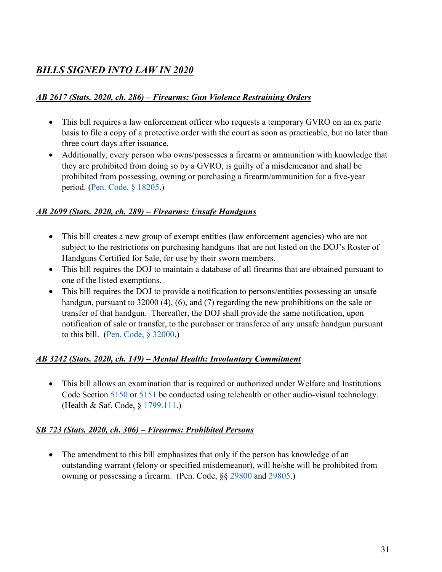# *BILLS SIGNED INTO LAW IN 2020*

#### *[AB 2617 \(Stats. 2020, ch. 286\) – Firearms: Gun Violence Restraining Orders](http://leginfo.legislature.ca.gov/faces/billNavClient.xhtml?bill_id=201920200AB2617)*

- This bill requires a law enforcement officer who requests a temporary GVRO on an ex parte basis to file a copy of a protective order with the court as soon as practicable, but no later than three court days after issuance.
- Additionally, every person who owns/possesses a firearm or ammunition with knowledge that they are prohibited from doing so by a GVRO, is guilty of a misdemeanor and shall be prohibited from possessing, owning or purchasing a firearm/ammunition for a five-year period. [\(Pen. Code, § 18205.](http://leginfo.legislature.ca.gov/faces/codes_displaySection.xhtml?sectionNum=18205&lawCode=PEN))

#### *[AB 2699 \(Stats. 2020, ch. 289\) – Firearms: Unsafe Handguns](http://leginfo.legislature.ca.gov/faces/billNavClient.xhtml?bill_id=201920200AB2699)*

- This bill creates a new group of exempt entities (law enforcement agencies) who are not subject to the restrictions on purchasing handguns that are not listed on the DOJ's Roster of Handguns Certified for Sale, for use by their sworn members.
- This bill requires the DOJ to maintain a database of all firearms that are obtained pursuant to one of the listed exemptions.
- This bill requires the DOJ to provide a notification to persons/entities possessing an unsafe handgun, pursuant to 32000 (4), (6), and (7) regarding the new prohibitions on the sale or transfer of that handgun. Thereafter, the DOJ shall provide the same notification, upon notification of sale or transfer, to the purchaser or transferee of any unsafe handgun pursuant to this bill. [\(Pen. Code, § 32000.](http://leginfo.legislature.ca.gov/faces/codes_displaySection.xhtml?sectionNum=32000.&lawCode=PEN))

#### *[AB 3242 \(Stats. 2020, ch. 149\) – Mental Health: Involuntary Commitment](http://leginfo.legislature.ca.gov/faces/codes_displaySection.xhtml?sectionNum=32000.&lawCode=PEN)*

• This bill allows an examination that is required or authorized under Welfare and Institutions Code Section [5150](http://leginfo.legislature.ca.gov/faces/codes_displaySection.xhtml?sectionNum=5150.&lawCode=WIC) or [5151](http://leginfo.legislature.ca.gov/faces/codes_displaySection.xhtml?sectionNum=5150.&lawCode=WIC) be conducted using telehealth or other audio-visual technology. (Health & Saf. Code, § [1799.111.](http://leginfo.legislature.ca.gov/faces/codes_displaySection.xhtml?sectionNum=1799.111.&lawCode=HSC))

#### *[SB 723 \(Stats. 2020, ch. 306\) – Firearms: Prohibited Persons](http://leginfo.legislature.ca.gov/faces/billNavClient.xhtml?bill_id=201920200SB723)*

• The amendment to this bill emphasizes that only if the person has knowledge of an outstanding warrant (felony or specified misdemeanor), will he/she will be prohibited from owning or possessing a firearm. (Pen. Code, §§ [29800](http://leginfo.legislature.ca.gov/faces/codes_displaySection.xhtml?sectionNum=29800.&lawCode=PEN) and [29805.](http://leginfo.legislature.ca.gov/faces/codes_displaySection.xhtml?sectionNum=29805.&lawCode=PEN))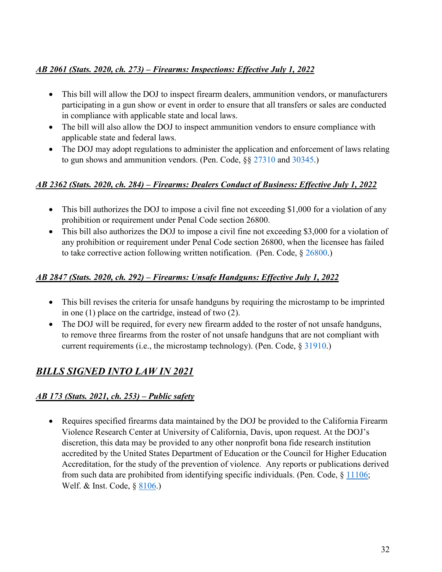#### *[AB 2061 \(Stats. 2020, ch. 273\) – Firearms: Inspections: Effective July 1, 2022](http://leginfo.legislature.ca.gov/faces/codes_displaySection.xhtml?sectionNum=29805.&lawCode=PEN)*

- This bill will allow the DOJ to inspect firearm dealers, ammunition vendors, or manufacturers participating in a gun show or event in order to ensure that all transfers or sales are conducted in compliance with applicable state and local laws.
- The bill will also allow the DOJ to inspect ammunition vendors to ensure compliance with applicable state and federal laws.
- The DOJ may adopt regulations to administer the application and enforcement of laws relating to gun shows and ammunition vendors. (Pen. Code,  $\S$ § [27310](http://leginfo.legislature.ca.gov/faces/codes_displaySection.xhtml?sectionNum=27310.&lawCode=PEN) and [30345.](http://leginfo.legislature.ca.gov/faces/codes_displaySection.xhtml?sectionNum=30345.&lawCode=PEN))

#### *[AB 2362 \(Stats. 2020, ch. 284\) – Firearms: Dealers Conduct of Business: Effective July 1, 2022](http://leginfo.legislature.ca.gov/faces/billNavClient.xhtml?bill_id=201920200AB2362)*

- This bill authorizes the DOJ to impose a civil fine not exceeding \$1,000 for a violation of any prohibition or requirement under Penal Code section 26800.
- This bill also authorizes the DOJ to impose a civil fine not exceeding \$3,000 for a violation of any prohibition or requirement under Penal Code section 26800, when the licensee has failed to take corrective action following written notification. (Pen. Code, § [26800.](http://leginfo.legislature.ca.gov/faces/codes_displaySection.xhtml?sectionNum=26800.&lawCode=PEN))

#### *[AB 2847 \(Stats. 2020, ch. 292\) – Firearms: Unsafe Handguns: Effective July 1, 2022](http://leginfo.legislature.ca.gov/faces/billNavClient.xhtml?bill_id=201920200AB2847)*

- This bill revises the criteria for unsafe handguns by requiring the microstamp to be imprinted in one (1) place on the cartridge, instead of two (2).
- The DOJ will be required, for every new firearm added to the roster of not unsafe handguns, to remove three firearms from the roster of not unsafe handguns that are not compliant with current requirements (i.e., the microstamp technology). (Pen. Code, § [31910.](http://leginfo.legislature.ca.gov/faces/codes_displaySection.xhtml?sectionNum=31910.&lawCode=PEN))

# *BILLS SIGNED INTO LAW IN 2021*

#### *AB 173 (Stats. 2021, ch. 253) – Public safety*

• Requires specified firearms data maintained by the DOJ be provided to the California Firearm Violence Research Center at University of California, Davis, upon request. At the DOJ's discretion, this data may be provided to any other nonprofit bona fide research institution accredited by the United States Department of Education or the Council for Higher Education Accreditation, for the study of the prevention of violence. Any reports or publications derived from such data are prohibited from identifying specific individuals. (Pen. Code,  $\S$  [11106;](https://leginfo.legislature.ca.gov/faces/codes_displaySection.xhtml?sectionNum=11106.&nodeTreePath=7.1.1.6&lawCode=PEN) Welf. & Inst. Code, § [8106.](https://leginfo.legislature.ca.gov/faces/codes_displaySection.xhtml?sectionNum=8106&lawCode=WIC))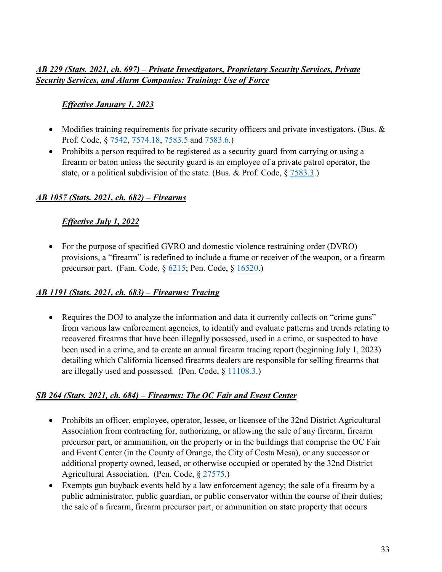#### *AB 229 (Stats. 2021, ch. 697) – Private Investigators, Proprietary Security Services, Private Security Services, and Alarm Companies: Training: Use of Force*

#### *Effective January 1, 2023*

- Modifies training requirements for private security officers and private investigators. (Bus. & Prof. Code, § [7542,](https://leginfo.legislature.ca.gov/faces/codes_displaySection.xhtml?sectionNum=7542&lawCode=BPC) [7574.18,](https://leginfo.legislature.ca.gov/faces/codes_displaySection.xhtml?sectionNum=7574.18&lawCode=BPC) [7583.5](https://leginfo.legislature.ca.gov/faces/codes_displaySection.xhtml?sectionNum=7583.5&lawCode=BPC) and [7583.6.](https://leginfo.legislature.ca.gov/faces/codes_displaySection.xhtml?sectionNum=7583.6&lawCode=BPC))
- Prohibits a person required to be registered as a security guard from carrying or using a firearm or baton unless the security guard is an employee of a private patrol operator, the state, or a political subdivision of the state. (Bus. & Prof. Code,  $\S 7583.3$ .)

#### *AB 1057 (Stats. 2021, ch. 682) – Firearms*

#### *Effective July 1, 2022*

• For the purpose of specified GVRO and domestic violence restraining order (DVRO) provisions, a "firearm" is redefined to include a frame or receiver of the weapon, or a firearm precursor part. (Fam. Code,  $\S$  [6215;](https://leginfo.legislature.ca.gov/faces/codes_displaySection.xhtml?sectionNum=6215&lawCode=FAM) Pen. Code,  $\S$  [16520.](https://leginfo.legislature.ca.gov/faces/codes_displaySection.xhtml?sectionNum=16520&lawCode=PEN))

#### *AB 1191 (Stats. 2021, ch. 683) – Firearms: Tracing*

• Requires the DOJ to analyze the information and data it currently collects on "crime guns" from various law enforcement agencies, to identify and evaluate patterns and trends relating to recovered firearms that have been illegally possessed, used in a crime, or suspected to have been used in a crime, and to create an annual firearm tracing report (beginning July 1, 2023) detailing which California licensed firearms dealers are responsible for selling firearms that are illegally used and possessed. (Pen. Code, § [11108.3.](https://leginfo.legislature.ca.gov/faces/codes_displaySection.xhtml?sectionNum=11108.3&lawCode=PEN))

#### *SB 264 (Stats. 2021, ch. 684) – Firearms: The OC Fair and Event Center*

- Prohibits an officer, employee, operator, lessee, or licensee of the 32nd District Agricultural Association from contracting for, authorizing, or allowing the sale of any firearm, firearm precursor part, or ammunition, on the property or in the buildings that comprise the OC Fair and Event Center (in the County of Orange, the City of Costa Mesa), or any successor or additional property owned, leased, or otherwise occupied or operated by the 32nd District Agricultural Association. (Pen. Code, § [27575.](https://leginfo.legislature.ca.gov/faces/billNavClient.xhtml?bill_id=202120220SB264))
- Exempts gun buyback events held by a law enforcement agency; the sale of a firearm by a public administrator, public guardian, or public conservator within the course of their duties; the sale of a firearm, firearm precursor part, or ammunition on state property that occurs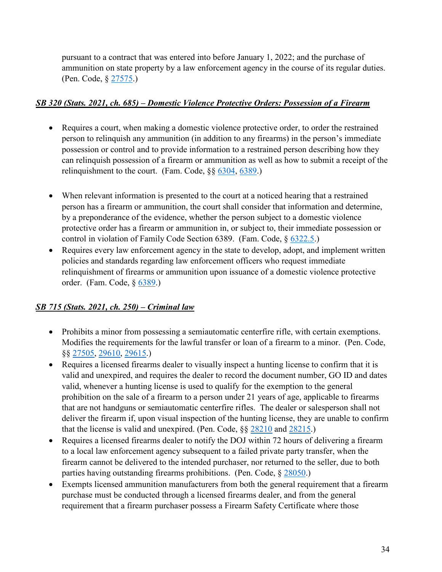pursuant to a contract that was entered into before January 1, 2022; and the purchase of ammunition on state property by a law enforcement agency in the course of its regular duties. (Pen. Code, § [27575.](https://leginfo.legislature.ca.gov/faces/billNavClient.xhtml?bill_id=202120220SB264))

#### *SB 320 (Stats. 2021, ch. 685) – Domestic Violence Protective Orders: Possession of a Firearm*

- Requires a court, when making a domestic violence protective order, to order the restrained person to relinquish any ammunition (in addition to any firearms) in the person's immediate possession or control and to provide information to a restrained person describing how they can relinquish possession of a firearm or ammunition as well as how to submit a receipt of the relinquishment to the court. (Fam. Code, §§ [6304,](https://leginfo.legislature.ca.gov/faces/codes_displaySection.xhtml?sectionNum=6304&lawCode=FAM) [6389.](https://leginfo.legislature.ca.gov/faces/codes_displaySection.xhtml?sectionNum=6389&lawCode=FAM))
- When relevant information is presented to the court at a noticed hearing that a restrained person has a firearm or ammunition, the court shall consider that information and determine, by a preponderance of the evidence, whether the person subject to a domestic violence protective order has a firearm or ammunition in, or subject to, their immediate possession or control in violation of Family Code Section 6389. (Fam. Code, § [6322.5.](https://leginfo.legislature.ca.gov/faces/codes_displayText.xhtml?division=10.&chapter=2.&part=4.&lawCode=FAM&article=1.))
- Requires every law enforcement agency in the state to develop, adopt, and implement written policies and standards regarding law enforcement officers who request immediate relinquishment of firearms or ammunition upon issuance of a domestic violence protective order. (Fam. Code, § [6389.](https://leginfo.legislature.ca.gov/faces/codes_displaySection.xhtml?sectionNum=6389&lawCode=FAM))

#### *SB 715 (Stats. 2021, ch. 250) – Criminal law*

- Prohibits a minor from possessing a semiautomatic centerfire rifle, with certain exemptions. Modifies the requirements for the lawful transfer or loan of a firearm to a minor. (Pen. Code, §§ [27505,](https://leginfo.legislature.ca.gov/faces/codes_displaySection.xhtml?sectionNum=27505&lawCode=PEN) [29610,](https://leginfo.legislature.ca.gov/faces/codes_displaySection.xhtml?sectionNum=29610&lawCode=PEN) [29615.](https://leginfo.legislature.ca.gov/faces/codes_displaySection.xhtml?sectionNum=29615&lawCode=PEN))
- Requires a licensed firearms dealer to visually inspect a hunting license to confirm that it is valid and unexpired, and requires the dealer to record the document number, GO ID and dates valid, whenever a hunting license is used to qualify for the exemption to the general prohibition on the sale of a firearm to a person under 21 years of age, applicable to firearms that are not handguns or semiautomatic centerfire rifles. The dealer or salesperson shall not deliver the firearm if, upon visual inspection of the hunting license, they are unable to confirm that the license is valid and unexpired. (Pen. Code, §§ [28210](https://leginfo.legislature.ca.gov/faces/codes_displaySection.xhtml?sectionNum=28210&lawCode=PEN) and [28215.](https://leginfo.legislature.ca.gov/faces/codes_displaySection.xhtml?sectionNum=28215&lawCode=PEN))
- Requires a licensed firearms dealer to notify the DOJ within 72 hours of delivering a firearm to a local law enforcement agency subsequent to a failed private party transfer, when the firearm cannot be delivered to the intended purchaser, nor returned to the seller, due to both parties having outstanding firearms prohibitions. (Pen. Code, § [28050.](https://leginfo.legislature.ca.gov/faces/codes_displaySection.xhtml?sectionNum=28050&lawCode=PEN))
- Exempts licensed ammunition manufacturers from both the general requirement that a firearm purchase must be conducted through a licensed firearms dealer, and from the general requirement that a firearm purchaser possess a Firearm Safety Certificate where those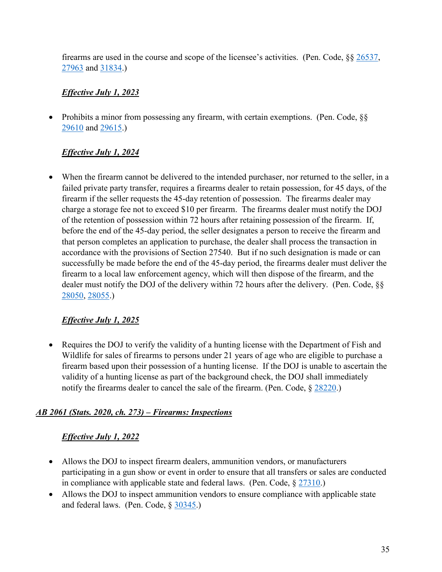firearms are used in the course and scope of the licensee's activities. (Pen. Code, §§ [26537,](https://leginfo.legislature.ca.gov/faces/billNavClient.xhtml?bill_id=202120220SB715) [27963](https://leginfo.legislature.ca.gov/faces/billNavClient.xhtml?bill_id=202120220SB715) and [31834.](https://leginfo.legislature.ca.gov/faces/billNavClient.xhtml?bill_id=202120220SB715))

#### *Effective July 1, 2023*

• Prohibits a minor from possessing any firearm, with certain exemptions. (Pen. Code, §§ [29610](https://leginfo.legislature.ca.gov/faces/codes_displaySection.xhtml?sectionNum=29610&lawCode=PEN) and [29615.](https://leginfo.legislature.ca.gov/faces/codes_displaySection.xhtml?sectionNum=29615&lawCode=PEN))

#### *Effective July 1, 2024*

• When the firearm cannot be delivered to the intended purchaser, nor returned to the seller, in a failed private party transfer, requires a firearms dealer to retain possession, for 45 days, of the firearm if the seller requests the 45-day retention of possession. The firearms dealer may charge a storage fee not to exceed \$10 per firearm. The firearms dealer must notify the DOJ of the retention of possession within 72 hours after retaining possession of the firearm. If, before the end of the 45-day period, the seller designates a person to receive the firearm and that person completes an application to purchase, the dealer shall process the transaction in accordance with the provisions of Section 27540. But if no such designation is made or can successfully be made before the end of the 45-day period, the firearms dealer must deliver the firearm to a local law enforcement agency, which will then dispose of the firearm, and the dealer must notify the DOJ of the delivery within 72 hours after the delivery. (Pen. Code, §§ [28050,](https://leginfo.legislature.ca.gov/faces/codes_displaySection.xhtml?sectionNum=28050&lawCode=PEN) [28055.](https://leginfo.legislature.ca.gov/faces/codes_displaySection.xhtml?sectionNum=28055&lawCode=PEN))

#### *Effective July 1, 2025*

• Requires the DOJ to verify the validity of a hunting license with the Department of Fish and Wildlife for sales of firearms to persons under 21 years of age who are eligible to purchase a firearm based upon their possession of a hunting license. If the DOJ is unable to ascertain the validity of a hunting license as part of the background check, the DOJ shall immediately notify the firearms dealer to cancel the sale of the firearm. (Pen. Code,  $\S 28220$ .)

#### *AB 2061 (Stats. 2020, ch. 273) – Firearms: Inspections*

#### *Effective July 1, 2022*

- Allows the DOJ to inspect firearm dealers, ammunition vendors, or manufacturers participating in a gun show or event in order to ensure that all transfers or sales are conducted in compliance with applicable state and federal laws. (Pen. Code,  $\S 27310$ .)
- Allows the DOJ to inspect ammunition vendors to ensure compliance with applicable state and federal laws. (Pen. Code, § [30345.](https://leginfo.legislature.ca.gov/faces/codes_displaySection.xhtml?sectionNum=30345&lawCode=PEN))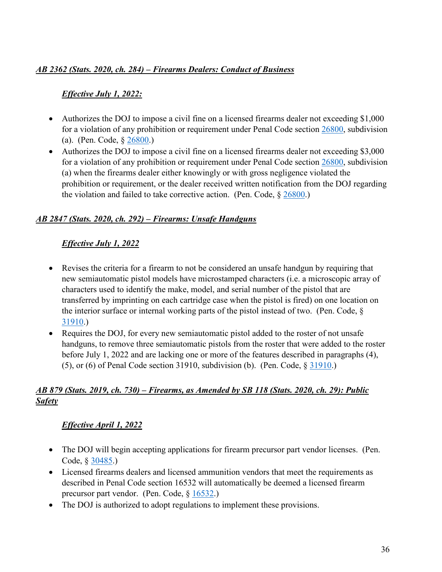#### *AB 2362 (Stats. 2020, ch. 284) – Firearms Dealers: Conduct of Business*

#### *Effective July 1, 2022:*

- Authorizes the DOJ to impose a civil fine on a licensed firearms dealer not exceeding \$1,000 for a violation of any prohibition or requirement under Penal Code section [26800,](https://leginfo.legislature.ca.gov/faces/codes_displaySection.xhtml?sectionNum=26800.&nodeTreePath=9.4.7.2.2&lawCode=PEN) subdivision (a). (Pen. Code, § [26800.](https://leginfo.legislature.ca.gov/faces/codes_displaySection.xhtml?sectionNum=26800.&nodeTreePath=9.4.7.2.2&lawCode=PEN))
- Authorizes the DOJ to impose a civil fine on a licensed firearms dealer not exceeding \$3,000 for a violation of any prohibition or requirement under Penal Code section [26800,](https://leginfo.legislature.ca.gov/faces/codes_displaySection.xhtml?sectionNum=26800.&nodeTreePath=9.4.7.2.2&lawCode=PEN) subdivision (a) when the firearms dealer either knowingly or with gross negligence violated the prohibition or requirement, or the dealer received written notification from the DOJ regarding the violation and failed to take corrective action. (Pen. Code,  $\S 26800$ .)

#### *AB 2847 (Stats. 2020, ch. 292) – Firearms: Unsafe Handguns*

#### *Effective July 1, 2022*

- Revises the criteria for a firearm to not be considered an unsafe handgun by requiring that new semiautomatic pistol models have microstamped characters (i.e. a microscopic array of characters used to identify the make, model, and serial number of the pistol that are transferred by imprinting on each cartridge case when the pistol is fired) on one location on the interior surface or internal working parts of the pistol instead of two. (Pen. Code, § [31910.](https://leginfo.legislature.ca.gov/faces/codes_displaySection.xhtml?sectionNum=31910&lawCode=PEN))
- Requires the DOJ, for every new semiautomatic pistol added to the roster of not unsafe handguns, to remove three semiautomatic pistols from the roster that were added to the roster before July 1, 2022 and are lacking one or more of the features described in paragraphs (4), (5), or (6) of Penal Code section 31910, subdivision (b). (Pen. Code,  $\S$  [31910.](https://leginfo.legislature.ca.gov/faces/codes_displaySection.xhtml?sectionNum=31910&lawCode=PEN))

#### *AB 879 (Stats. 2019, ch. 730) – Firearms, as Amended by SB 118 (Stats. 2020, ch. 29): Public Safety*

#### *Effective April 1, 2022*

- The DOJ will begin accepting applications for firearm precursor part vendor licenses. (Pen. Code, § [30485.](https://leginfo.legislature.ca.gov/faces/codes_displaySection.xhtml?sectionNum=30485&lawCode=PEN))
- Licensed firearms dealers and licensed ammunition vendors that meet the requirements as described in Penal Code section 16532 will automatically be deemed a licensed firearm precursor part vendor. (Pen. Code, § [16532.](https://leginfo.legislature.ca.gov/faces/codes_displaySection.xhtml?sectionNum=16532&lawCode=PEN))
- The DOJ is authorized to adopt regulations to implement these provisions.